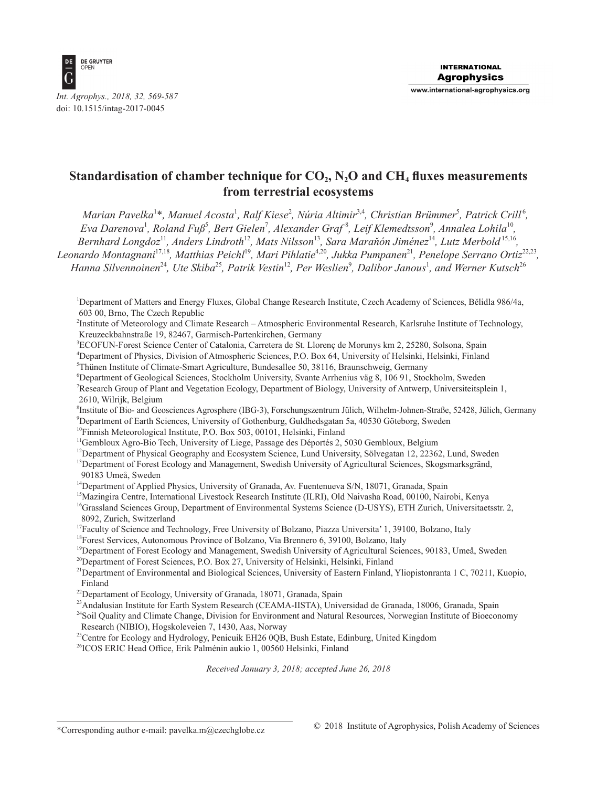

# Standardisation of chamber technique for  $CO<sub>2</sub>$ ,  $N<sub>2</sub>O$  and  $CH<sub>4</sub>$  fluxes measurements **from terrestrial ecosystems**

*Marian Pavelka*<sup>1</sup> \**, Manuel Acosta*<sup>1</sup> *, Ralf Kiese*<sup>2</sup> *, Núria Altimir*3,4*, Christian Brümmer*<sup>5</sup> *, Patrick Crill* <sup>6</sup> *, Eva Darenova*<sup>1</sup> *, Roland Fuß*<sup>5</sup> *, Bert Gielen*<sup>7</sup> *, Alexander Graf*  8 *, Leif Klemedtsson*<sup>9</sup> *, Annalea Lohila*<sup>10</sup>*, Bernhard Longdoz*<sup>11</sup>*, Anders Lindroth*<sup>12</sup>*, Mats Nilsson*<sup>13</sup>*, Sara Maraňón Jiménez*<sup>14</sup>*, Lutz Merbold*15,16*, Leonardo Montagnani*17,18*, Matthias Peichl*<sup>19</sup>*, Mari Pihlatie*4,20*, Jukka Pumpanen*<sup>21</sup>*, Penelope Serrano Ortiz*22,23*, Hanna Silvennoinen*<sup>24</sup>, Ute Skiba<sup>25</sup>, Patrik Vestin<sup>12</sup>, Per Weslien<sup>9</sup>, Dalibor Janous<sup>1</sup>, and Werner Kutsch<sup>26</sup>

1 Department of Matters and Energy Fluxes, Global Change Research Institute, Czech Academy of Sciences, Bělidla 986/4a, 603 00, Brno, The Czech Republic

2 Institute of Meteorology and Climate Research – Atmospheric Environmental Research, Karlsruhe Institute of Technology, Kreuzeckbahnstraße 19, 82467, Garmisch-Partenkirchen, Germany

3 ECOFUN-Forest Science Center of Catalonia, Carretera de St. Llorenç de Morunys km 2, 25280, Solsona, Spain

4 Department of Physics, Division of Atmospheric Sciences, P.O. Box 64, University of Helsinki, Helsinki, Finland 5 Thünen Institute of Climate-Smart Agriculture, Bundesallee 50, 38116, Braunschweig, Germany

6 Department of Geological Sciences, Stockholm University, Svante Arrhenius väg 8, 106 91, Stockholm, Sweden

7 Research Group of Plant and Vegetation Ecology, Department of Biology, University of Antwerp, Universiteitsplein 1, 2610, Wilrijk, Belgium

8 Institute of Bio- and Geosciences Agrosphere (IBG-3), Forschungszentrum Jülich, Wilhelm-Johnen-Straße, 52428, Jülich, Germany 9 Department of Earth Sciences, University of Gothenburg, Guldhedsgatan 5a, 40530 Göteborg, Sweden

<sup>10</sup>Finnish Meteorological Institute, P.O. Box 503, 00101, Helsinki, Finland

<sup>11</sup>Gembloux Agro-Bio Tech, University of Liege, Passage des Déportés 2, 5030 Gembloux, Belgium

- <sup>12</sup>Department of Physical Geography and Ecosystem Science, Lund University, Sölvegatan 12, 22362, Lund, Sweden
- <sup>13</sup>Department of Forest Ecology and Management, Swedish University of Agricultural Sciences, Skogsmarksgränd, 90183 Umeå, Sweden
- <sup>14</sup>Department of Applied Physics, University of Granada, Av. Fuentenueva S/N, 18071, Granada, Spain

15Mazingira Centre, International Livestock Research Institute (ILRI), Old Naivasha Road, 00100, Nairobi, Kenya

- <sup>16</sup>Grassland Sciences Group, Department of Environmental Systems Science (D-USYS), ETH Zurich, Universitaetsstr. 2, 8092, Zurich, Switzerland
- <sup>17</sup>Faculty of Science and Technology, Free University of Bolzano, Piazza Universita' 1, 39100, Bolzano, Italy
- <sup>18</sup>Forest Services, Autonomous Province of Bolzano, Via Brennero 6, 39100, Bolzano, Italy
- <sup>19</sup>Department of Forest Ecology and Management, Swedish University of Agricultural Sciences, 90183, Umeå, Sweden
- <sup>20</sup>Department of Forest Sciences, P.O. Box 27, University of Helsinki, Helsinki, Finland

<sup>21</sup>Department of Environmental and Biological Sciences, University of Eastern Finland, Yliopistonranta 1 C, 70211, Kuopio, Finland

- <sup>22</sup>Departament of Ecology, University of Granada, 18071, Granada, Spain
- 23Andalusian Institute for Earth System Research (CEAMA-IISTA), Universidad de Granada, 18006, Granada, Spain

<sup>24</sup>Soil Quality and Climate Change, Division for Environment and Natural Resources, Norwegian Institute of Bioeconomy Research (NIBIO), Hogskoleveien 7, 1430, Aas, Norway

- <sup>25</sup>Centre for Ecology and Hydrology, Penicuik EH26 0QB, Bush Estate, Edinburg, United Kingdom
- <sup>26</sup>ICOS ERIC Head Office, Erik Palménin aukio 1, 00560 Helsinki, Finland

*Received January 3, 2018; accepted June 26, 2018*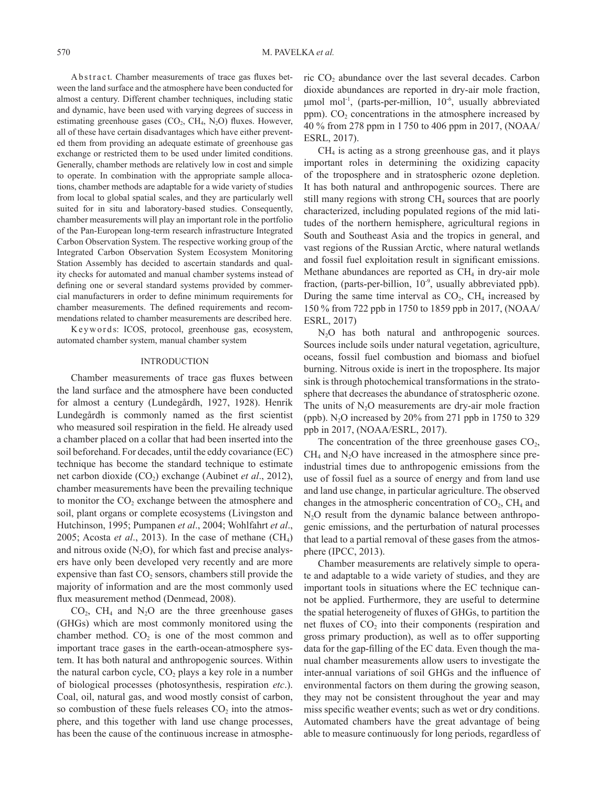Abstract. Chamber measurements of trace gas fluxes between the land surface and the atmosphere have been conducted for almost a century. Different chamber techniques, including static and dynamic, have been used with varying degrees of success in estimating greenhouse gases  $(CO_2, CH_4, N_2O)$  fluxes. However, all of these have certain disadvantages which have either prevented them from providing an adequate estimate of greenhouse gas exchange or restricted them to be used under limited conditions. Generally, chamber methods are relatively low in cost and simple to operate. In combination with the appropriate sample allocations, chamber methods are adaptable for a wide variety of studies from local to global spatial scales, and they are particularly well suited for in situ and laboratory-based studies. Consequently, chamber measurements will play an important role in the portfolio of the Pan-European long-term research infrastructure Integrated Carbon Observation System. The respective working group of the Integrated Carbon Observation System Ecosystem Monitoring Station Assembly has decided to ascertain standards and quality checks for automated and manual chamber systems instead of defining one or several standard systems provided by commercial manufacturers in order to define minimum requirements for chamber measurements. The defined requirements and recommendations related to chamber measurements are described here.

K e y w ords: ICOS, protocol, greenhouse gas, ecosystem, automated chamber system, manual chamber system

## INTRODUCTION

Chamber measurements of trace gas fluxes between the land surface and the atmosphere have been conducted for almost a century (Lundegårdh, 1927, 1928). Henrik Lundegårdh is commonly named as the first scientist who measured soil respiration in the field. He already used a chamber placed on a collar that had been inserted into the soil beforehand. For decades, until the eddy covariance (EC) technique has become the standard technique to estimate net carbon dioxide (CO<sub>2</sub>) exchange (Aubinet *et al.*, 2012), chamber measurements have been the prevailing technique to monitor the  $CO<sub>2</sub>$  exchange between the atmosphere and soil, plant organs or complete ecosystems (Livingston and Hutchinson, 1995; Pumpanen *et al*., 2004; Wohlfahrt *et al*., 2005; Acosta *et al.*, 2013). In the case of methane  $(CH<sub>4</sub>)$ and nitrous oxide  $(N_2O)$ , for which fast and precise analysers have only been developed very recently and are more expensive than fast  $CO<sub>2</sub>$  sensors, chambers still provide the majority of information and are the most commonly used flux measurement method (Denmead, 2008).

 $CO<sub>2</sub>$ , CH<sub>4</sub> and N<sub>2</sub>O are the three greenhouse gases (GHGs) which are most commonly monitored using the chamber method.  $CO<sub>2</sub>$  is one of the most common and important trace gases in the earth-ocean-atmosphere system. It has both natural and anthropogenic sources. Within the natural carbon cycle,  $CO<sub>2</sub>$  plays a key role in a number of biological processes (photosynthesis, respiration *etc*.). Coal, oil, natural gas, and wood mostly consist of carbon, so combustion of these fuels releases  $CO<sub>2</sub>$  into the atmosphere, and this together with land use change processes, has been the cause of the continuous increase in atmospheric  $CO<sub>2</sub>$  abundance over the last several decades. Carbon dioxide abundances are reported in dry-air mole fraction, μmol mol<sup>-1</sup>, (parts-per-million,  $10^{-6}$ , usually abbreviated ppm).  $CO<sub>2</sub>$  concentrations in the atmosphere increased by 40 % from 278 ppm in 1 750 to 406 ppm in 2017, (NOAA/ ESRL, 2017).

 $CH<sub>4</sub>$  is acting as a strong greenhouse gas, and it plays important roles in determining the oxidizing capacity of the troposphere and in stratospheric ozone depletion. It has both natural and anthropogenic sources. There are still many regions with strong  $CH<sub>4</sub>$  sources that are poorly characterized, including populated regions of the mid latitudes of the northern hemisphere, agricultural regions in South and Southeast Asia and the tropics in general, and vast regions of the Russian Arctic, where natural wetlands and fossil fuel exploitation result in significant emissions. Methane abundances are reported as  $CH<sub>4</sub>$  in dry-air mole fraction, (parts-per-billion,  $10^{-9}$ , usually abbreviated ppb). During the same time interval as  $CO<sub>2</sub>$ , CH<sub>4</sub> increased by 150 % from 722 ppb in 1750 to 1859 ppb in 2017, (NOAA/ ESRL, 2017)

N<sub>2</sub>O has both natural and anthropogenic sources. Sources include soils under natural vegetation, agriculture, oceans, fossil fuel combustion and biomass and biofuel burning. Nitrous oxide is inert in the troposphere. Its major sink is through photochemical transformations in the stratosphere that decreases the abundance of stratospheric ozone. The units of  $N_2O$  measurements are dry-air mole fraction (ppb).  $N_2O$  increased by 20% from 271 ppb in 1750 to 329 ppb in 2017, (NOAA/ESRL, 2017).

The concentration of the three greenhouse gases  $CO<sub>2</sub>$ ,  $CH<sub>4</sub>$  and N<sub>2</sub>O have increased in the atmosphere since preindustrial times due to anthropogenic emissions from the use of fossil fuel as a source of energy and from land use and land use change, in particular agriculture. The observed changes in the atmospheric concentration of  $CO<sub>2</sub>$ ,  $CH<sub>4</sub>$  and  $N<sub>2</sub>O$  result from the dynamic balance between anthropogenic emissions, and the perturbation of natural processes that lead to a partial removal of these gases from the atmosphere (IPCC, 2013).

Chamber measurements are relatively simple to operate and adaptable to a wide variety of studies, and they are important tools in situations where the EC technique cannot be applied. Furthermore, they are useful to determine the spatial heterogeneity of fluxes of GHGs, to partition the net fluxes of  $CO<sub>2</sub>$  into their components (respiration and gross primary production), as well as to offer supporting data for the gap-filling of the EC data. Even though the manual chamber measurements allow users to investigate the inter-annual variations of soil GHGs and the influence of environmental factors on them during the growing season, they may not be consistent throughout the year and may miss specific weather events; such as wet or dry conditions. Automated chambers have the great advantage of being able to measure continuously for long periods, regardless of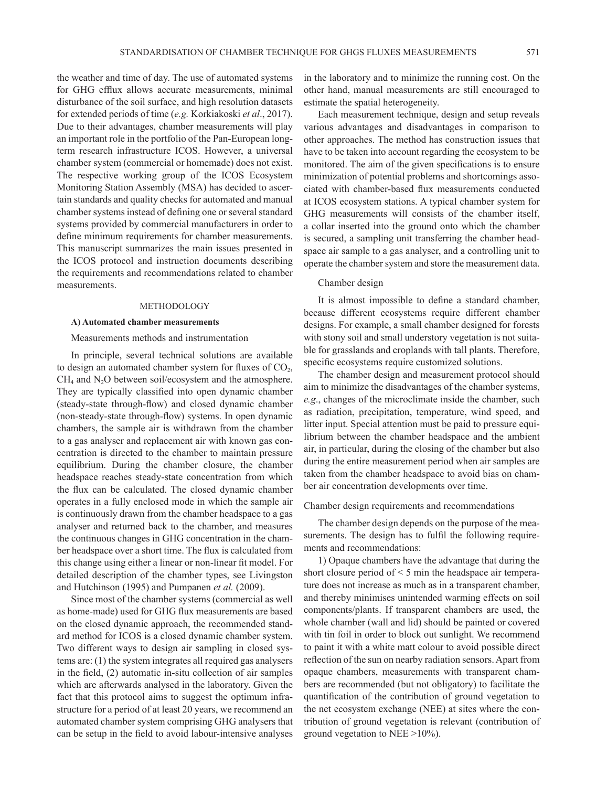the weather and time of day. The use of automated systems for GHG efflux allows accurate measurements, minimal disturbance of the soil surface, and high resolution datasets for extended periods of time (*e.g.* Korkiakoski *et al*., 2017). Due to their advantages, chamber measurements will play an important role in the portfolio of the Pan-European longterm research infrastructure ICOS. However, a universal chamber system (commercial or homemade) does not exist. The respective working group of the ICOS Ecosystem Monitoring Station Assembly (MSA) has decided to ascertain standards and quality checks for automated and manual chamber systems instead of defining one or several standard systems provided by commercial manufacturers in order to define minimum requirements for chamber measurements. This manuscript summarizes the main issues presented in the ICOS protocol and instruction documents describing the requirements and recommendations related to chamber measurements.

#### METHODOLOGY

#### **A) Automated chamber measurements**

## Measurements methods and instrumentation

In principle, several technical solutions are available to design an automated chamber system for fluxes of  $CO<sub>2</sub>$ ,  $CH<sub>4</sub>$  and N<sub>2</sub>O between soil/ecosystem and the atmosphere. They are typically classified into open dynamic chamber (steady-state through-flow) and closed dynamic chamber (non-steady-state through-flow) systems. In open dynamic chambers, the sample air is withdrawn from the chamber to a gas analyser and replacement air with known gas concentration is directed to the chamber to maintain pressure equilibrium. During the chamber closure, the chamber headspace reaches steady-state concentration from which the flux can be calculated. The closed dynamic chamber operates in a fully enclosed mode in which the sample air is continuously drawn from the chamber headspace to a gas analyser and returned back to the chamber, and measures the continuous changes in GHG concentration in the chamber headspace over a short time. The flux is calculated from this change using either a linear or non-linear fit model. For detailed description of the chamber types, see Livingston and Hutchinson (1995) and Pumpanen *et al.* (2009).

Since most of the chamber systems (commercial as well as home-made) used for GHG flux measurements are based on the closed dynamic approach, the recommended standard method for ICOS is a closed dynamic chamber system. Two different ways to design air sampling in closed systems are: (1) the system integrates all required gas analysers in the field, (2) automatic in-situ collection of air samples which are afterwards analysed in the laboratory. Given the fact that this protocol aims to suggest the optimum infrastructure for a period of at least 20 years, we recommend an automated chamber system comprising GHG analysers that can be setup in the field to avoid labour-intensive analyses

in the laboratory and to minimize the running cost. On the other hand, manual measurements are still encouraged to estimate the spatial heterogeneity.

Each measurement technique, design and setup reveals various advantages and disadvantages in comparison to other approaches. The method has construction issues that have to be taken into account regarding the ecosystem to be monitored. The aim of the given specifications is to ensure minimization of potential problems and shortcomings associated with chamber-based flux measurements conducted at ICOS ecosystem stations. A typical chamber system for GHG measurements will consists of the chamber itself, a collar inserted into the ground onto which the chamber is secured, a sampling unit transferring the chamber headspace air sample to a gas analyser, and a controlling unit to operate the chamber system and store the measurement data.

## Chamber design

It is almost impossible to define a standard chamber, because different ecosystems require different chamber designs. For example, a small chamber designed for forests with stony soil and small understory vegetation is not suitable for grasslands and croplands with tall plants. Therefore, specific ecosystems require customized solutions.

The chamber design and measurement protocol should aim to minimize the disadvantages of the chamber systems, *e.g*., changes of the microclimate inside the chamber, such as radiation, precipitation, temperature, wind speed, and litter input. Special attention must be paid to pressure equilibrium between the chamber headspace and the ambient air, in particular, during the closing of the chamber but also during the entire measurement period when air samples are taken from the chamber headspace to avoid bias on chamber air concentration developments over time.

#### Chamber design requirements and recommendations

The chamber design depends on the purpose of the measurements. The design has to fulfil the following requirements and recommendations:

1) Opaque chambers have the advantage that during the short closure period of < 5 min the headspace air temperature does not increase as much as in a transparent chamber, and thereby minimises unintended warming effects on soil components/plants. If transparent chambers are used, the whole chamber (wall and lid) should be painted or covered with tin foil in order to block out sunlight. We recommend to paint it with a white matt colour to avoid possible direct reflection of the sun on nearby radiation sensors. Apart from opaque chambers, measurements with transparent chambers are recommended (but not obligatory) to facilitate the quantification of the contribution of ground vegetation to the net ecosystem exchange (NEE) at sites where the contribution of ground vegetation is relevant (contribution of ground vegetation to NEE >10%).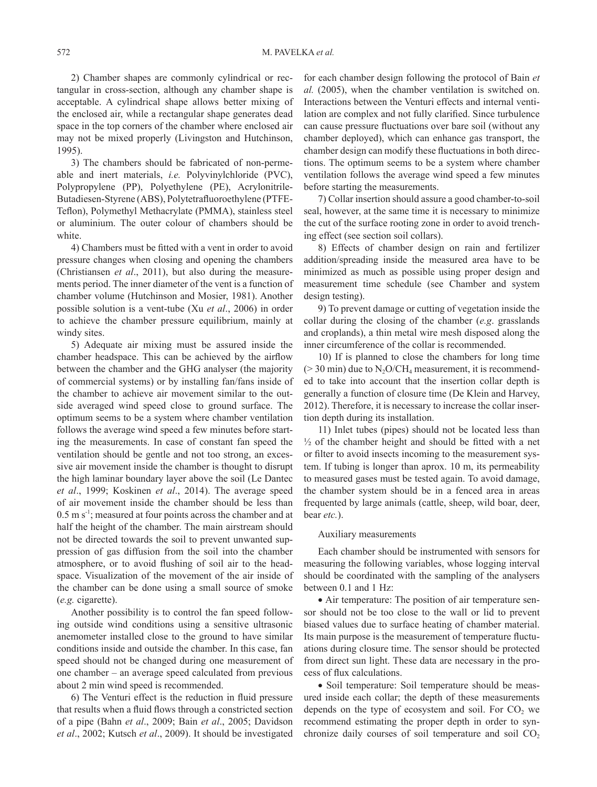2) Chamber shapes are commonly cylindrical or rectangular in cross-section, although any chamber shape is acceptable. A cylindrical shape allows better mixing of the enclosed air, while a rectangular shape generates dead space in the top corners of the chamber where enclosed air may not be mixed properly (Livingston and Hutchinson, 1995).

3) The chambers should be fabricated of non-permeable and inert materials, *i.e.* Polyvinylchloride (PVC), Polypropylene (PP), Polyethylene (PE), Acrylonitrile-Butadiesen-Styrene (ABS), Polytetrafluoroethylene (PTFE-Teflon), Polymethyl Methacrylate (PMMA), stainless steel or aluminium. The outer colour of chambers should be white.

4) Chambers must be fitted with a vent in order to avoid pressure changes when closing and opening the chambers (Christiansen *et al*., 2011), but also during the measurements period. The inner diameter of the vent is a function of chamber volume (Hutchinson and Mosier, 1981). Another possible solution is a vent-tube (Xu *et al*., 2006) in order to achieve the chamber pressure equilibrium, mainly at windy sites.

5) Adequate air mixing must be assured inside the chamber headspace. This can be achieved by the airflow between the chamber and the GHG analyser (the majority of commercial systems) or by installing fan/fans inside of the chamber to achieve air movement similar to the outside averaged wind speed close to ground surface. The optimum seems to be a system where chamber ventilation follows the average wind speed a few minutes before starting the measurements. In case of constant fan speed the ventilation should be gentle and not too strong, an excessive air movement inside the chamber is thought to disrupt the high laminar boundary layer above the soil (Le Dantec *et al*., 1999; Koskinen *et al*., 2014). The average speed of air movement inside the chamber should be less than  $0.5 \text{ m s}^{-1}$ ; measured at four points across the chamber and at half the height of the chamber. The main airstream should not be directed towards the soil to prevent unwanted suppression of gas diffusion from the soil into the chamber atmosphere, or to avoid flushing of soil air to the headspace. Visualization of the movement of the air inside of the chamber can be done using a small source of smoke (*e.g.* cigarette).

Another possibility is to control the fan speed following outside wind conditions using a sensitive ultrasonic anemometer installed close to the ground to have similar conditions inside and outside the chamber. In this case, fan speed should not be changed during one measurement of one chamber – an average speed calculated from previous about 2 min wind speed is recommended.

6) The Venturi effect is the reduction in fluid pressure that results when a fluid flows through a constricted section of a pipe (Bahn *et al*., 2009; Bain *et al*., 2005; Davidson *et al*., 2002; Kutsch *et al*., 2009). It should be investigated

for each chamber design following the protocol of Bain *et al.* (2005), when the chamber ventilation is switched on. Interactions between the Venturi effects and internal ventilation are complex and not fully clarified. Since turbulence can cause pressure fluctuations over bare soil (without any chamber deployed), which can enhance gas transport, the chamber design can modify these fluctuations in both directions. The optimum seems to be a system where chamber ventilation follows the average wind speed a few minutes before starting the measurements.

7) Collar insertion should assure a good chamber-to-soil seal, however, at the same time it is necessary to minimize the cut of the surface rooting zone in order to avoid trenching effect (see section soil collars).

8) Effects of chamber design on rain and fertilizer addition/spreading inside the measured area have to be minimized as much as possible using proper design and measurement time schedule (see Chamber and system design testing).

9) To prevent damage or cutting of vegetation inside the collar during the closing of the chamber (*e.g*. grasslands and croplands), a thin metal wire mesh disposed along the inner circumference of the collar is recommended.

10) If is planned to close the chambers for long time ( $>$  30 min) due to  $\rm N_2O/CH_4$  measurement, it is recommended to take into account that the insertion collar depth is generally a function of closure time (De Klein and Harvey, 2012). Therefore, it is necessary to increase the collar insertion depth during its installation.

11) Inlet tubes (pipes) should not be located less than  $\frac{1}{2}$  of the chamber height and should be fitted with a net or filter to avoid insects incoming to the measurement system. If tubing is longer than aprox. 10 m, its permeability to measured gases must be tested again. To avoid damage, the chamber system should be in a fenced area in areas frequented by large animals (cattle, sheep, wild boar, deer, bear *etc.*).

## Auxiliary measurements

Each chamber should be instrumented with sensors for measuring the following variables, whose logging interval should be coordinated with the sampling of the analysers between 0.1 and 1 Hz:

• Air temperature: The position of air temperature sensor should not be too close to the wall or lid to prevent biased values due to surface heating of chamber material. Its main purpose is the measurement of temperature fluctuations during closure time. The sensor should be protected from direct sun light. These data are necessary in the process of flux calculations.

• Soil temperature: Soil temperature should be measured inside each collar; the depth of these measurements depends on the type of ecosystem and soil. For  $CO<sub>2</sub>$  we recommend estimating the proper depth in order to synchronize daily courses of soil temperature and soil  $CO<sub>2</sub>$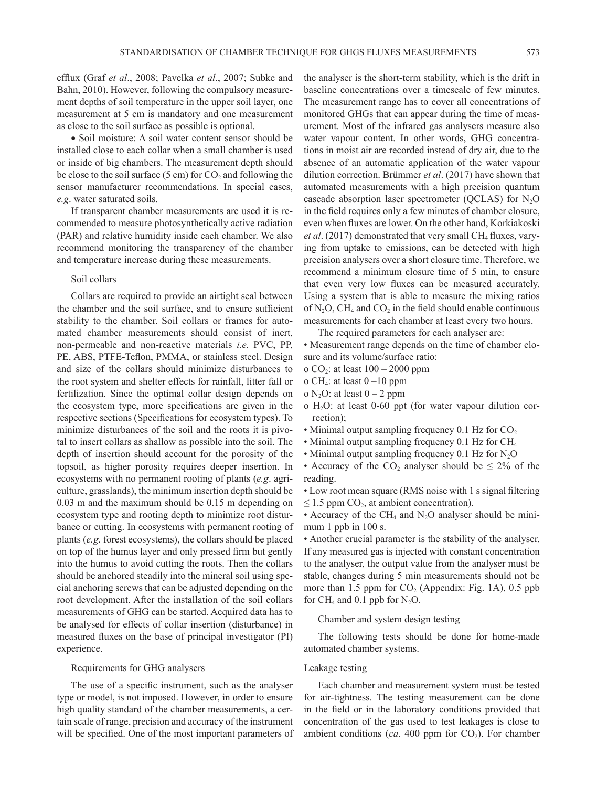efflux (Graf *et al*., 2008; Pavelka *et al*., 2007; Subke and Bahn, 2010). However, following the compulsory measurement depths of soil temperature in the upper soil layer, one measurement at 5 cm is mandatory and one measurement as close to the soil surface as possible is optional.

• Soil moisture: A soil water content sensor should be installed close to each collar when a small chamber is used or inside of big chambers. The measurement depth should be close to the soil surface (5 cm) for  $CO<sub>2</sub>$  and following the sensor manufacturer recommendations. In special cases, *e.g*. water saturated soils.

If transparent chamber measurements are used it is recommended to measure photosynthetically active radiation (PAR) and relative humidity inside each chamber. We also recommend monitoring the transparency of the chamber and temperature increase during these measurements.

## Soil collars

Collars are required to provide an airtight seal between the chamber and the soil surface, and to ensure sufficient stability to the chamber. Soil collars or frames for automated chamber measurements should consist of inert, non-permeable and non-reactive materials *i.e.* PVC, PP, PE, ABS, PTFE-Teflon, PMMA, or stainless steel. Design and size of the collars should minimize disturbances to the root system and shelter effects for rainfall, litter fall or fertilization. Since the optimal collar design depends on the ecosystem type, more specifications are given in the respective sections (Specifications for ecosystem types). To minimize disturbances of the soil and the roots it is pivotal to insert collars as shallow as possible into the soil. The depth of insertion should account for the porosity of the topsoil, as higher porosity requires deeper insertion. In ecosystems with no permanent rooting of plants (*e.g*. agriculture, grasslands), the minimum insertion depth should be 0.03 m and the maximum should be 0.15 m depending on ecosystem type and rooting depth to minimize root disturbance or cutting. In ecosystems with permanent rooting of plants (*e.g*. forest ecosystems), the collars should be placed on top of the humus layer and only pressed firm but gently into the humus to avoid cutting the roots. Then the collars should be anchored steadily into the mineral soil using special anchoring screws that can be adjusted depending on the root development. After the installation of the soil collars measurements of GHG can be started. Acquired data has to be analysed for effects of collar insertion (disturbance) in measured fluxes on the base of principal investigator (PI) experience.

## Requirements for GHG analysers

The use of a specific instrument, such as the analyser type or model, is not imposed. However, in order to ensure high quality standard of the chamber measurements, a certain scale of range, precision and accuracy of the instrument will be specified. One of the most important parameters of the analyser is the short-term stability, which is the drift in baseline concentrations over a timescale of few minutes. The measurement range has to cover all concentrations of monitored GHGs that can appear during the time of measurement. Most of the infrared gas analysers measure also water vapour content. In other words, GHG concentrations in moist air are recorded instead of dry air, due to the absence of an automatic application of the water vapour dilution correction. Brümmer *et al*. (2017) have shown that automated measurements with a high precision quantum cascade absorption laser spectrometer (QCLAS) for  $N_2O$ in the field requires only a few minutes of chamber closure, even when fluxes are lower. On the other hand, Korkiakoski *et al.* (2017) demonstrated that very small CH<sub>4</sub> fluxes, varying from uptake to emissions, can be detected with high precision analysers over a short closure time. Therefore, we recommend a minimum closure time of 5 min, to ensure that even very low fluxes can be measured accurately. Using a system that is able to measure the mixing ratios of  $N_2O$ , CH<sub>4</sub> and CO<sub>2</sub> in the field should enable continuous measurements for each chamber at least every two hours.

The required parameters for each analyser are:

• Measurement range depends on the time of chamber closure and its volume/surface ratio:

- o CO<sub>2</sub>: at least  $100 2000$  ppm
- o CH<sub>4</sub>: at least  $0 10$  ppm
- o N<sub>2</sub>O: at least  $0 2$  ppm
- o  $H_2O$ : at least 0-60 ppt (for water vapour dilution correction);
- Minimal output sampling frequency 0.1 Hz for  $CO<sub>2</sub>$
- Minimal output sampling frequency 0.1 Hz for CH<sup>4</sup>
- Minimal output sampling frequency 0.1 Hz for  $N_2O$
- Accuracy of the  $CO_2$  analyser should be  $\leq 2\%$  of the reading.
- Low root mean square (RMS noise with 1 s signal filtering
- $\leq$  1.5 ppm CO<sub>2</sub>, at ambient concentration).
- Accuracy of the CH<sub>4</sub> and N<sub>2</sub>O analyser should be minimum 1 ppb in 100 s.

• Another crucial parameter is the stability of the analyser. If any measured gas is injected with constant concentration to the analyser, the output value from the analyser must be stable, changes during 5 min measurements should not be more than 1.5 ppm for  $CO<sub>2</sub>$  (Appendix: Fig. 1A), 0.5 ppb for  $CH_4$  and 0.1 ppb for  $N_2O$ .

## Chamber and system design testing

The following tests should be done for home-made automated chamber systems.

## Leakage testing

Each chamber and measurement system must be tested for air-tightness. The testing measurement can be done in the field or in the laboratory conditions provided that concentration of the gas used to test leakages is close to ambient conditions (*ca*. 400 ppm for  $CO<sub>2</sub>$ ). For chamber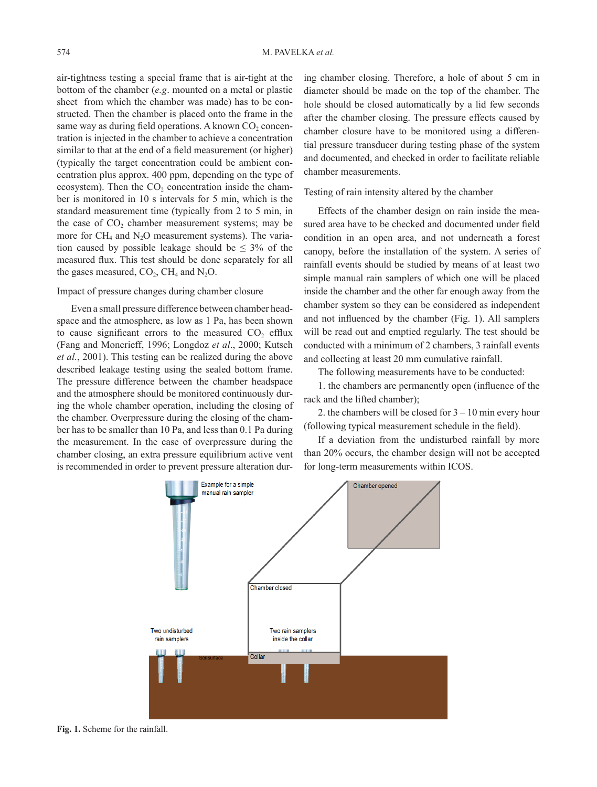air-tightness testing a special frame that is air-tight at the bottom of the chamber (*e.g*. mounted on a metal or plastic sheet from which the chamber was made) has to be constructed. Then the chamber is placed onto the frame in the same way as during field operations. A known  $CO<sub>2</sub>$  concentration is injected in the chamber to achieve a concentration similar to that at the end of a field measurement (or higher) (typically the target concentration could be ambient concentration plus approx. 400 ppm, depending on the type of ecosystem). Then the  $CO<sub>2</sub>$  concentration inside the chamber is monitored in 10 s intervals for 5 min, which is the standard measurement time (typically from 2 to 5 min, in the case of  $CO<sub>2</sub>$  chamber measurement systems; may be more for  $CH_4$  and  $N_2O$  measurement systems). The variation caused by possible leakage should be  $\leq 3\%$  of the measured flux. This test should be done separately for all the gases measured,  $CO<sub>2</sub>$ , CH<sub>4</sub> and N<sub>2</sub>O.

## Impact of pressure changes during chamber closure

Even a small pressure difference between chamber headspace and the atmosphere, as low as 1 Pa, has been shown to cause significant errors to the measured  $CO<sub>2</sub>$  efflux (Fang and Moncrieff, 1996; Longdoz *et al*., 2000; Kutsch *et al.*, 2001). This testing can be realized during the above described leakage testing using the sealed bottom frame. The pressure difference between the chamber headspace and the atmosphere should be monitored continuously during the whole chamber operation, including the closing of the chamber. Overpressure during the closing of the chamber has to be smaller than 10 Pa, and less than 0.1 Pa during the measurement. In the case of overpressure during the chamber closing, an extra pressure equilibrium active vent is recommended in order to prevent pressure alteration during chamber closing. Therefore, a hole of about 5 cm in diameter should be made on the top of the chamber. The hole should be closed automatically by a lid few seconds after the chamber closing. The pressure effects caused by chamber closure have to be monitored using a differential pressure transducer during testing phase of the system and documented, and checked in order to facilitate reliable chamber measurements.

## Testing of rain intensity altered by the chamber

Effects of the chamber design on rain inside the measured area have to be checked and documented under field condition in an open area, and not underneath a forest canopy, before the installation of the system. A series of rainfall events should be studied by means of at least two simple manual rain samplers of which one will be placed inside the chamber and the other far enough away from the chamber system so they can be considered as independent and not influenced by the chamber (Fig. 1). All samplers will be read out and emptied regularly. The test should be conducted with a minimum of 2 chambers, 3 rainfall events and collecting at least 20 mm cumulative rainfall.

The following measurements have to be conducted:

1. the chambers are permanently open (influence of the rack and the lifted chamber);

2. the chambers will be closed for 3 – 10 min every hour (following typical measurement schedule in the field).

If a deviation from the undisturbed rainfall by more than 20% occurs, the chamber design will not be accepted for long-term measurements within ICOS.



**Fig. 1.** Scheme for the rainfall.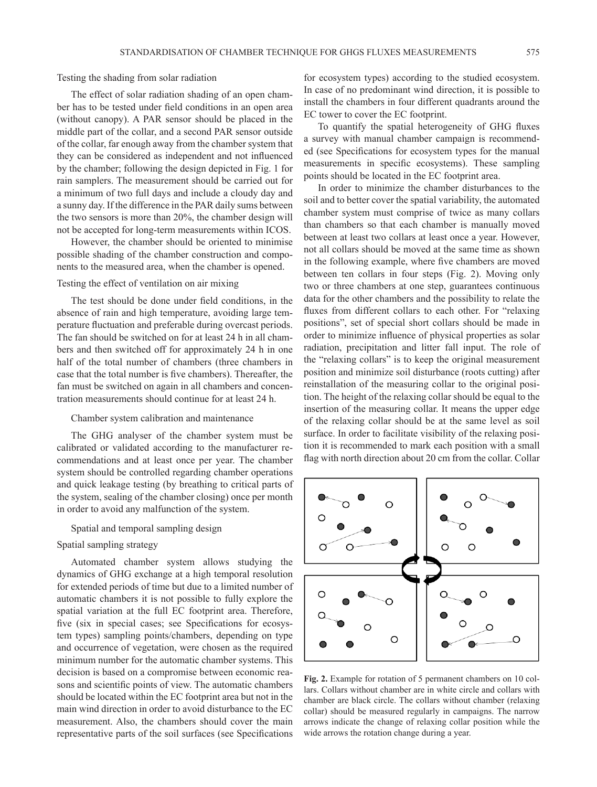Testing the shading from solar radiation

The effect of solar radiation shading of an open chamber has to be tested under field conditions in an open area (without canopy). A PAR sensor should be placed in the middle part of the collar, and a second PAR sensor outside of the collar, far enough away from the chamber system that they can be considered as independent and not influenced by the chamber; following the design depicted in Fig. 1 for rain samplers. The measurement should be carried out for a minimum of two full days and include a cloudy day and a sunny day. If the difference in the PAR daily sums between the two sensors is more than 20%, the chamber design will not be accepted for long-term measurements within ICOS.

However, the chamber should be oriented to minimise possible shading of the chamber construction and components to the measured area, when the chamber is opened.

# Testing the effect of ventilation on air mixing

The test should be done under field conditions, in the absence of rain and high temperature, avoiding large temperature fluctuation and preferable during overcast periods. The fan should be switched on for at least 24 h in all chambers and then switched off for approximately 24 h in one half of the total number of chambers (three chambers in case that the total number is five chambers). Thereafter, the fan must be switched on again in all chambers and concentration measurements should continue for at least 24 h.

## Chamber system calibration and maintenance

The GHG analyser of the chamber system must be calibrated or validated according to the manufacturer recommendations and at least once per year. The chamber system should be controlled regarding chamber operations and quick leakage testing (by breathing to critical parts of the system, sealing of the chamber closing) once per month in order to avoid any malfunction of the system.

Spatial and temporal sampling design

# Spatial sampling strategy

Automated chamber system allows studying the dynamics of GHG exchange at a high temporal resolution for extended periods of time but due to a limited number of automatic chambers it is not possible to fully explore the spatial variation at the full EC footprint area. Therefore, five (six in special cases; see Specifications for ecosystem types) sampling points/chambers, depending on type and occurrence of vegetation, were chosen as the required minimum number for the automatic chamber systems. This decision is based on a compromise between economic reasons and scientific points of view. The automatic chambers should be located within the EC footprint area but not in the main wind direction in order to avoid disturbance to the EC measurement. Also, the chambers should cover the main representative parts of the soil surfaces (see Specifications

for ecosystem types) according to the studied ecosystem. In case of no predominant wind direction, it is possible to install the chambers in four different quadrants around the EC tower to cover the EC footprint.

To quantify the spatial heterogeneity of GHG fluxes a survey with manual chamber campaign is recommended (see Specifications for ecosystem types for the manual measurements in specific ecosystems). These sampling points should be located in the EC footprint area.

In order to minimize the chamber disturbances to the soil and to better cover the spatial variability, the automated chamber system must comprise of twice as many collars than chambers so that each chamber is manually moved between at least two collars at least once a year. However, not all collars should be moved at the same time as shown in the following example, where five chambers are moved between ten collars in four steps (Fig. 2). Moving only two or three chambers at one step, guarantees continuous data for the other chambers and the possibility to relate the fluxes from different collars to each other. For "relaxing positions", set of special short collars should be made in order to minimize influence of physical properties as solar radiation, precipitation and litter fall input. The role of the "relaxing collars" is to keep the original measurement position and minimize soil disturbance (roots cutting) after reinstallation of the measuring collar to the original position. The height of the relaxing collar should be equal to the insertion of the measuring collar. It means the upper edge of the relaxing collar should be at the same level as soil surface. In order to facilitate visibility of the relaxing position it is recommended to mark each position with a small flag with north direction about 20 cm from the collar. Collar



**Fig. 2.** Example for rotation of 5 permanent chambers on 10 collars. Collars without chamber are in white circle and collars with chamber are black circle. The collars without chamber (relaxing collar) should be measured regularly in campaigns. The narrow arrows indicate the change of relaxing collar position while the wide arrows the rotation change during a year.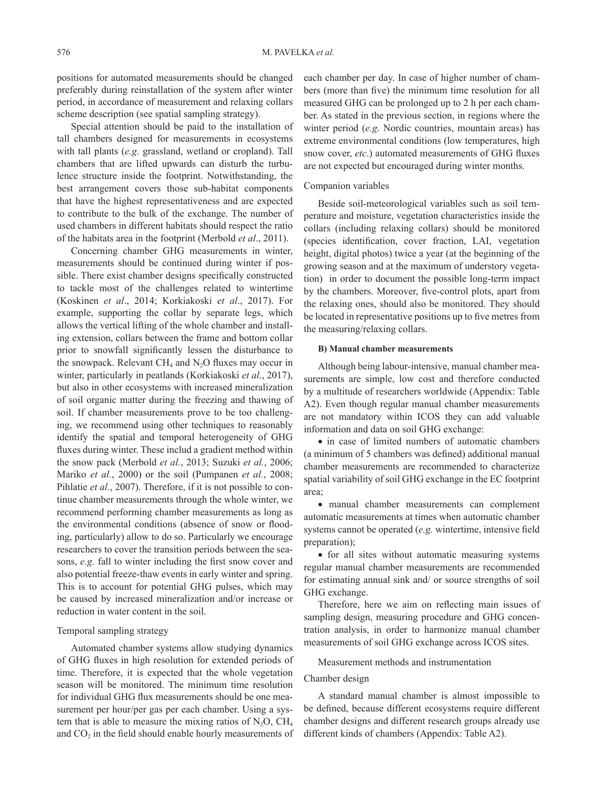positions for automated measurements should be changed preferably during reinstallation of the system after winter period, in accordance of measurement and relaxing collars scheme description (see spatial sampling strategy).

Special attention should be paid to the installation of tall chambers designed for measurements in ecosystems with tall plants (*e.g*. grassland, wetland or cropland). Tall chambers that are lifted upwards can disturb the turbulence structure inside the footprint. Notwithstanding, the best arrangement covers those sub-habitat components that have the highest representativeness and are expected to contribute to the bulk of the exchange. The number of used chambers in different habitats should respect the ratio of the habitats area in the footprint (Merbold *et al*., 2011).

Concerning chamber GHG measurements in winter, measurements should be continued during winter if possible. There exist chamber designs specifically constructed to tackle most of the challenges related to wintertime (Koskinen *et al*., 2014; Korkiakoski *et al*., 2017). For example, supporting the collar by separate legs, which allows the vertical lifting of the whole chamber and installing extension, collars between the frame and bottom collar prior to snowfall significantly lessen the disturbance to the snowpack. Relevant  $CH_4$  and  $N_2O$  fluxes may occur in winter, particularly in peatlands (Korkiakoski *et al*., 2017), but also in other ecosystems with increased mineralization of soil organic matter during the freezing and thawing of soil. If chamber measurements prove to be too challenging, we recommend using other techniques to reasonably identify the spatial and temporal heterogeneity of GHG fluxes during winter. These includ a gradient method within the snow pack (Merbold *et al.*, 2013; Suzuki *et al.*, 2006; Mariko *et al.*, 2000) or the soil (Pumpanen *et al.*, 2008; Pihlatie *et al.*, 2007). Therefore, if it is not possible to continue chamber measurements through the whole winter, we recommend performing chamber measurements as long as the environmental conditions (absence of snow or flooding, particularly) allow to do so. Particularly we encourage researchers to cover the transition periods between the seasons, *e.g.* fall to winter including the first snow cover and also potential freeze-thaw events in early winter and spring. This is to account for potential GHG pulses, which may be caused by increased mineralization and/or increase or reduction in water content in the soil.

# Temporal sampling strategy

Automated chamber systems allow studying dynamics of GHG fluxes in high resolution for extended periods of time. Therefore, it is expected that the whole vegetation season will be monitored. The minimum time resolution for individual GHG flux measurements should be one measurement per hour/per gas per each chamber. Using a system that is able to measure the mixing ratios of  $N_2O$ , CH<sub>4</sub> and  $CO<sub>2</sub>$  in the field should enable hourly measurements of

each chamber per day. In case of higher number of chambers (more than five) the minimum time resolution for all measured GHG can be prolonged up to 2 h per each chamber. As stated in the previous section, in regions where the winter period (*e.g.* Nordic countries, mountain areas) has extreme environmental conditions (low temperatures, high snow cover, *etc*.) automated measurements of GHG fluxes are not expected but encouraged during winter months.

## Companion variables

Beside soil-meteorological variables such as soil temperature and moisture, vegetation characteristics inside the collars (including relaxing collars) should be monitored (species identification, cover fraction, LAI, vegetation height, digital photos) twice a year (at the beginning of the growing season and at the maximum of understory vegetation) in order to document the possible long-term impact by the chambers. Moreover, five-control plots, apart from the relaxing ones, should also be monitored. They should be located in representative positions up to five metres from the measuring/relaxing collars.

## **B) Manual chamber measurements**

Although being labour-intensive, manual chamber measurements are simple, low cost and therefore conducted by a multitude of researchers worldwide (Appendix: Table A2). Even though regular manual chamber measurements are not mandatory within ICOS they can add valuable information and data on soil GHG exchange:

• in case of limited numbers of automatic chambers (a minimum of 5 chambers was defined) additional manual chamber measurements are recommended to characterize spatial variability of soil GHG exchange in the EC footprint area;

• manual chamber measurements can complement automatic measurements at times when automatic chamber systems cannot be operated (*e.g.* wintertime, intensive field preparation);

• for all sites without automatic measuring systems regular manual chamber measurements are recommended for estimating annual sink and/ or source strengths of soil GHG exchange.

Therefore, here we aim on reflecting main issues of sampling design, measuring procedure and GHG concentration analysis, in order to harmonize manual chamber measurements of soil GHG exchange across ICOS sites.

## Measurement methods and instrumentation

## Chamber design

A standard manual chamber is almost impossible to be defined, because different ecosystems require different chamber designs and different research groups already use different kinds of chambers (Appendix: Table A2).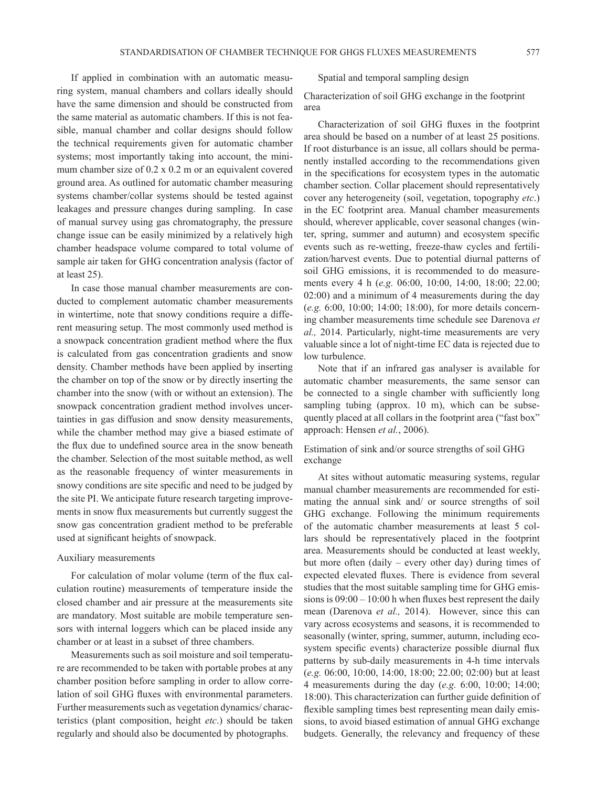If applied in combination with an automatic measuring system, manual chambers and collars ideally should have the same dimension and should be constructed from the same material as automatic chambers. If this is not feasible, manual chamber and collar designs should follow the technical requirements given for automatic chamber systems; most importantly taking into account, the minimum chamber size of 0.2 x 0.2 m or an equivalent covered ground area. As outlined for automatic chamber measuring systems chamber/collar systems should be tested against leakages and pressure changes during sampling. In case of manual survey using gas chromatography, the pressure change issue can be easily minimized by a relatively high chamber headspace volume compared to total volume of sample air taken for GHG concentration analysis (factor of at least 25).

In case those manual chamber measurements are conducted to complement automatic chamber measurements in wintertime, note that snowy conditions require a different measuring setup. The most commonly used method is a snowpack concentration gradient method where the flux is calculated from gas concentration gradients and snow density. Chamber methods have been applied by inserting the chamber on top of the snow or by directly inserting the chamber into the snow (with or without an extension). The snowpack concentration gradient method involves uncertainties in gas diffusion and snow density measurements, while the chamber method may give a biased estimate of the flux due to undefined source area in the snow beneath the chamber. Selection of the most suitable method, as well as the reasonable frequency of winter measurements in snowy conditions are site specific and need to be judged by the site PI. We anticipate future research targeting improvements in snow flux measurements but currently suggest the snow gas concentration gradient method to be preferable used at significant heights of snowpack.

## Auxiliary measurements

For calculation of molar volume (term of the flux calculation routine) measurements of temperature inside the closed chamber and air pressure at the measurements site are mandatory. Most suitable are mobile temperature sensors with internal loggers which can be placed inside any chamber or at least in a subset of three chambers.

Measurements such as soil moisture and soil temperature are recommended to be taken with portable probes at any chamber position before sampling in order to allow correlation of soil GHG fluxes with environmental parameters. Further measurements such as vegetation dynamics/ characteristics (plant composition, height *etc*.) should be taken regularly and should also be documented by photographs.

## Spatial and temporal sampling design

Characterization of soil GHG exchange in the footprint area

Characterization of soil GHG fluxes in the footprint area should be based on a number of at least 25 positions. If root disturbance is an issue, all collars should be permanently installed according to the recommendations given in the specifications for ecosystem types in the automatic chamber section. Collar placement should representatively cover any heterogeneity (soil, vegetation, topography *etc*.) in the EC footprint area. Manual chamber measurements should, wherever applicable, cover seasonal changes (winter, spring, summer and autumn) and ecosystem specific events such as re-wetting, freeze-thaw cycles and fertilization/harvest events. Due to potential diurnal patterns of soil GHG emissions, it is recommended to do measurements every 4 h (*e.g.* 06:00, 10:00, 14:00, 18:00; 22.00; 02:00) and a minimum of 4 measurements during the day (*e.g.* 6:00, 10:00; 14:00; 18:00), for more details concerning chamber measurements time schedule see Darenova *et al.,* 2014. Particularly, night-time measurements are very valuable since a lot of night-time EC data is rejected due to low turbulence.

Note that if an infrared gas analyser is available for automatic chamber measurements, the same sensor can be connected to a single chamber with sufficiently long sampling tubing (approx. 10 m), which can be subsequently placed at all collars in the footprint area ("fast box" approach: Hensen *et al.*, 2006).

# Estimation of sink and/or source strengths of soil GHG exchange

At sites without automatic measuring systems, regular manual chamber measurements are recommended for estimating the annual sink and/ or source strengths of soil GHG exchange. Following the minimum requirements of the automatic chamber measurements at least 5 collars should be representatively placed in the footprint area. Measurements should be conducted at least weekly, but more often (daily – every other day) during times of expected elevated fluxes. There is evidence from several studies that the most suitable sampling time for GHG emissions is 09:00 – 10:00 h when fluxes best represent the daily mean (Darenova *et al.,* 2014). However, since this can vary across ecosystems and seasons, it is recommended to seasonally (winter, spring, summer, autumn, including ecosystem specific events) characterize possible diurnal flux patterns by sub-daily measurements in 4-h time intervals (*e.g.* 06:00, 10:00, 14:00, 18:00; 22.00; 02:00) but at least 4 measurements during the day (*e.g.* 6:00, 10:00; 14:00; 18:00). This characterization can further guide definition of flexible sampling times best representing mean daily emissions, to avoid biased estimation of annual GHG exchange budgets. Generally, the relevancy and frequency of these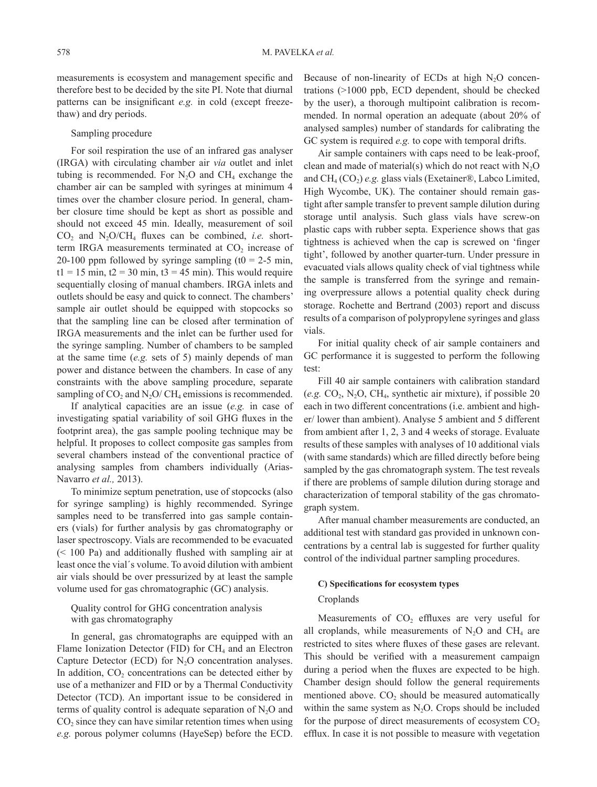measurements is ecosystem and management specific and therefore best to be decided by the site PI. Note that diurnal patterns can be insignificant *e.g.* in cold (except freezethaw) and dry periods.

## Sampling procedure

For soil respiration the use of an infrared gas analyser (IRGA) with circulating chamber air *via* outlet and inlet tubing is recommended. For  $N_2O$  and  $CH_4$  exchange the chamber air can be sampled with syringes at minimum 4 times over the chamber closure period. In general, chamber closure time should be kept as short as possible and should not exceed 45 min. Ideally, measurement of soil  $CO<sub>2</sub>$  and  $N<sub>2</sub>O/CH<sub>4</sub>$  fluxes can be combined, *i.e.* shortterm IRGA measurements terminated at  $CO<sub>2</sub>$  increase of 20-100 ppm followed by syringe sampling (t0 = 2-5 min,  $t1 = 15$  min,  $t2 = 30$  min,  $t3 = 45$  min). This would require sequentially closing of manual chambers. IRGA inlets and outlets should be easy and quick to connect. The chambers' sample air outlet should be equipped with stopcocks so that the sampling line can be closed after termination of IRGA measurements and the inlet can be further used for the syringe sampling. Number of chambers to be sampled at the same time (*e.g.* sets of 5) mainly depends of man power and distance between the chambers. In case of any constraints with the above sampling procedure, separate sampling of  $CO_2$  and  $N_2O/CH_4$  emissions is recommended.

If analytical capacities are an issue (*e.g.* in case of investigating spatial variability of soil GHG fluxes in the footprint area), the gas sample pooling technique may be helpful. It proposes to collect composite gas samples from several chambers instead of the conventional practice of analysing samples from chambers individually (Arias-Navarro *et al.,* 2013).

To minimize septum penetration, use of stopcocks (also for syringe sampling) is highly recommended. Syringe samples need to be transferred into gas sample containers (vials) for further analysis by gas chromatography or laser spectroscopy. Vials are recommended to be evacuated (< 100 Pa) and additionally flushed with sampling air at least once the vial´s volume. To avoid dilution with ambient air vials should be over pressurized by at least the sample volume used for gas chromatographic (GC) analysis.

Quality control for GHG concentration analysis with gas chromatography

In general, gas chromatographs are equipped with an Flame Ionization Detector (FID) for  $CH<sub>4</sub>$  and an Electron Capture Detector (ECD) for  $N_2O$  concentration analyses. In addition,  $CO<sub>2</sub>$  concentrations can be detected either by use of a methanizer and FID or by a Thermal Conductivity Detector (TCD). An important issue to be considered in terms of quality control is adequate separation of  $N_2O$  and  $CO<sub>2</sub>$  since they can have similar retention times when using *e.g.* porous polymer columns (HayeSep) before the ECD.

Because of non-linearity of ECDs at high  $N_2O$  concentrations (>1000 ppb, ECD dependent, should be checked by the user), a thorough multipoint calibration is recommended. In normal operation an adequate (about 20% of analysed samples) number of standards for calibrating the GC system is required *e.g.* to cope with temporal drifts.

Air sample containers with caps need to be leak-proof, clean and made of material(s) which do not react with  $N_2O$ and CH<sub>4</sub> (CO<sub>2</sub>) *e.g.* glass vials (Exetainer®, Labco Limited, High Wycombe, UK). The container should remain gastight after sample transfer to prevent sample dilution during storage until analysis. Such glass vials have screw-on plastic caps with rubber septa. Experience shows that gas tightness is achieved when the cap is screwed on 'finger tight', followed by another quarter-turn. Under pressure in evacuated vials allows quality check of vial tightness while the sample is transferred from the syringe and remaining overpressure allows a potential quality check during storage. Rochette and Bertrand (2003) report and discuss results of a comparison of polypropylene syringes and glass vials.

For initial quality check of air sample containers and GC performance it is suggested to perform the following test:

Fill 40 air sample containers with calibration standard  $(e.g. CO<sub>2</sub>, N<sub>2</sub>O, CH<sub>4</sub>, synthetic air mixture), if possible 20$ each in two different concentrations (i.e. ambient and higher/ lower than ambient). Analyse 5 ambient and 5 different from ambient after 1, 2, 3 and 4 weeks of storage. Evaluate results of these samples with analyses of 10 additional vials (with same standards) which are filled directly before being sampled by the gas chromatograph system. The test reveals if there are problems of sample dilution during storage and characterization of temporal stability of the gas chromatograph system.

After manual chamber measurements are conducted, an additional test with standard gas provided in unknown concentrations by a central lab is suggested for further quality control of the individual partner sampling procedures.

## **C) Specifications for ecosystem types**

#### Croplands

Measurements of  $CO<sub>2</sub>$  effluxes are very useful for all croplands, while measurements of  $N_2O$  and  $CH_4$  are restricted to sites where fluxes of these gases are relevant. This should be verified with a measurement campaign during a period when the fluxes are expected to be high. Chamber design should follow the general requirements mentioned above. CO<sub>2</sub> should be measured automatically within the same system as  $N<sub>2</sub>O$ . Crops should be included for the purpose of direct measurements of ecosystem  $CO<sub>2</sub>$ efflux. In case it is not possible to measure with vegetation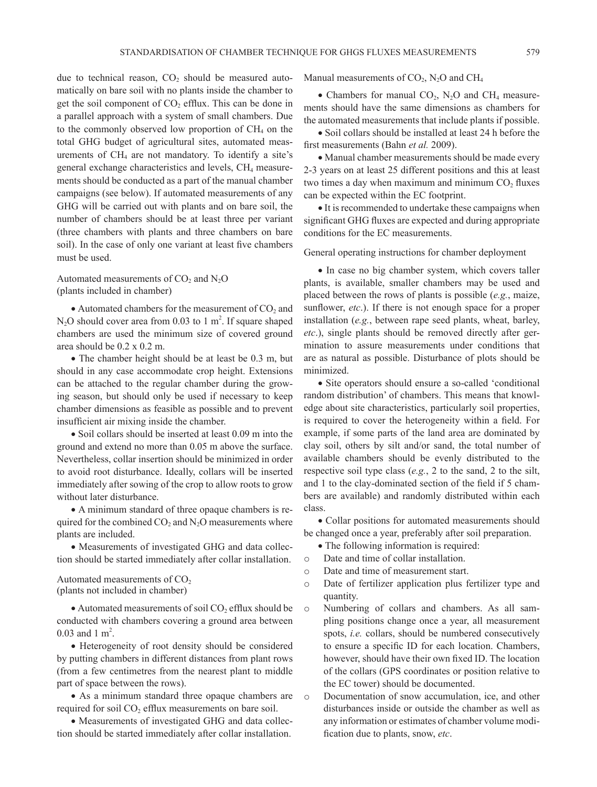due to technical reason,  $CO<sub>2</sub>$  should be measured automatically on bare soil with no plants inside the chamber to get the soil component of  $CO<sub>2</sub>$  efflux. This can be done in a parallel approach with a system of small chambers. Due to the commonly observed low proportion of  $CH<sub>4</sub>$  on the total GHG budget of agricultural sites, automated measurements of  $CH<sub>4</sub>$  are not mandatory. To identify a site's general exchange characteristics and levels, CH<sub>4</sub> measurements should be conducted as a part of the manual chamber campaigns (see below). If automated measurements of any GHG will be carried out with plants and on bare soil, the number of chambers should be at least three per variant (three chambers with plants and three chambers on bare soil). In the case of only one variant at least five chambers must be used.

Automated measurements of  $CO<sub>2</sub>$  and  $N<sub>2</sub>O$ (plants included in chamber)

• Automated chambers for the measurement of  $CO<sub>2</sub>$  and  $N_2O$  should cover area from 0.03 to 1 m<sup>2</sup>. If square shaped chambers are used the minimum size of covered ground area should be 0.2 x 0.2 m.

• The chamber height should be at least be 0.3 m, but should in any case accommodate crop height. Extensions can be attached to the regular chamber during the growing season, but should only be used if necessary to keep chamber dimensions as feasible as possible and to prevent insufficient air mixing inside the chamber.

• Soil collars should be inserted at least 0.09 m into the ground and extend no more than 0.05 m above the surface. Nevertheless, collar insertion should be minimized in order to avoid root disturbance. Ideally, collars will be inserted immediately after sowing of the crop to allow roots to grow without later disturbance.

• A minimum standard of three opaque chambers is required for the combined  $CO<sub>2</sub>$  and  $N<sub>2</sub>O$  measurements where plants are included.

• Measurements of investigated GHG and data collection should be started immediately after collar installation.

Automated measurements of  $CO<sub>2</sub>$ (plants not included in chamber)

 $\bullet$  Automated measurements of soil CO<sub>2</sub> efflux should be conducted with chambers covering a ground area between 0.03 and  $1 \text{ m}^2$ .

• Heterogeneity of root density should be considered by putting chambers in different distances from plant rows (from a few centimetres from the nearest plant to middle part of space between the rows).

• As a minimum standard three opaque chambers are required for soil  $CO<sub>2</sub>$  efflux measurements on bare soil.

• Measurements of investigated GHG and data collection should be started immediately after collar installation.

Manual measurements of  $CO<sub>2</sub>$ , N<sub>2</sub>O and CH<sub>4</sub>

• Chambers for manual  $CO<sub>2</sub>$ , N<sub>2</sub>O and CH<sub>4</sub> measurements should have the same dimensions as chambers for the automated measurements that include plants if possible.

• Soil collars should be installed at least 24 h before the first measurements (Bahn *et al.* 2009).

• Manual chamber measurements should be made every 2-3 years on at least 25 different positions and this at least two times a day when maximum and minimum  $CO<sub>2</sub>$  fluxes can be expected within the EC footprint.

• It is recommended to undertake these campaigns when significant GHG fluxes are expected and during appropriate conditions for the EC measurements.

General operating instructions for chamber deployment

• In case no big chamber system, which covers taller plants, is available, smaller chambers may be used and placed between the rows of plants is possible (*e.g.*, maize, sunflower, *etc*.). If there is not enough space for a proper installation (*e.g.*, between rape seed plants, wheat, barley, *etc*.), single plants should be removed directly after germination to assure measurements under conditions that are as natural as possible. Disturbance of plots should be minimized.

• Site operators should ensure a so-called 'conditional random distribution' of chambers. This means that knowledge about site characteristics, particularly soil properties, is required to cover the heterogeneity within a field. For example, if some parts of the land area are dominated by clay soil, others by silt and/or sand, the total number of available chambers should be evenly distributed to the respective soil type class (*e.g.*, 2 to the sand, 2 to the silt, and 1 to the clay-dominated section of the field if 5 chambers are available) and randomly distributed within each class.

• Collar positions for automated measurements should be changed once a year, preferably after soil preparation.

• The following information is required:

- o Date and time of collar installation.
- o Date and time of measurement start.
- o Date of fertilizer application plus fertilizer type and quantity.
- o Numbering of collars and chambers. As all sampling positions change once a year, all measurement spots, *i.e.* collars, should be numbered consecutively to ensure a specific ID for each location. Chambers, however, should have their own fixed ID. The location of the collars (GPS coordinates or position relative to the EC tower) should be documented.
- o Documentation of snow accumulation, ice, and other disturbances inside or outside the chamber as well as any information or estimates of chamber volume modification due to plants, snow, *etc*.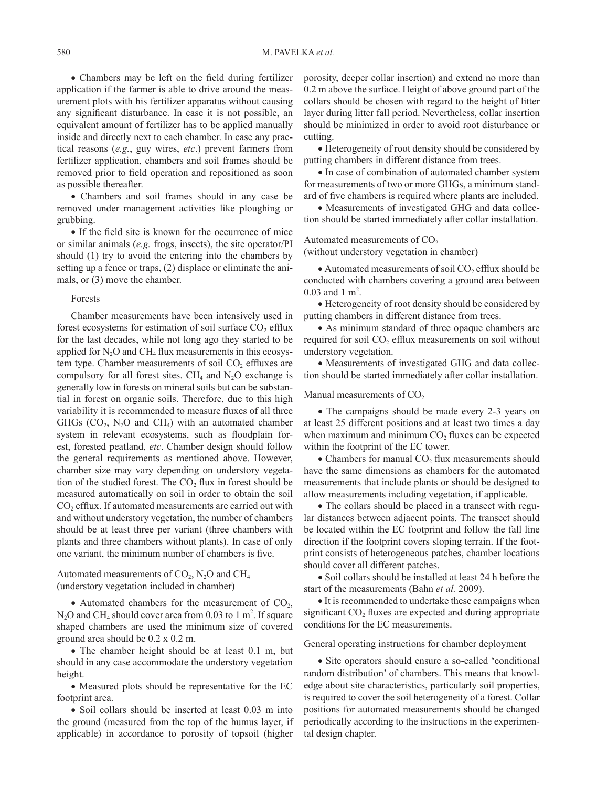• Chambers may be left on the field during fertilizer application if the farmer is able to drive around the measurement plots with his fertilizer apparatus without causing any significant disturbance. In case it is not possible, an equivalent amount of fertilizer has to be applied manually inside and directly next to each chamber. In case any practical reasons (*e.g.*, guy wires, *etc*.) prevent farmers from fertilizer application, chambers and soil frames should be removed prior to field operation and repositioned as soon as possible thereafter.

• Chambers and soil frames should in any case be removed under management activities like ploughing or grubbing.

• If the field site is known for the occurrence of mice or similar animals (*e.g.* frogs, insects), the site operator/PI should (1) try to avoid the entering into the chambers by setting up a fence or traps, (2) displace or eliminate the animals, or (3) move the chamber.

## Forests

Chamber measurements have been intensively used in forest ecosystems for estimation of soil surface  $CO<sub>2</sub>$  efflux for the last decades, while not long ago they started to be applied for  $N_2O$  and  $CH_4$  flux measurements in this ecosystem type. Chamber measurements of soil  $CO<sub>2</sub>$  effluxes are compulsory for all forest sites.  $CH_4$  and  $N_2O$  exchange is generally low in forests on mineral soils but can be substantial in forest on organic soils. Therefore, due to this high variability it is recommended to measure fluxes of all three GHGs  $(CO_2, N_2O)$  and  $CH_4$ ) with an automated chamber system in relevant ecosystems, such as floodplain forest, forested peatland, *etc*. Chamber design should follow the general requirements as mentioned above. However, chamber size may vary depending on understory vegetation of the studied forest. The  $CO<sub>2</sub>$  flux in forest should be measured automatically on soil in order to obtain the soil CO<sub>2</sub> efflux. If automated measurements are carried out with and without understory vegetation, the number of chambers should be at least three per variant (three chambers with plants and three chambers without plants). In case of only one variant, the minimum number of chambers is five.

Automated measurements of  $CO_2$ , N<sub>2</sub>O and CH<sub>4</sub> (understory vegetation included in chamber)

• Automated chambers for the measurement of  $CO<sub>2</sub>$ ,  $N_2O$  and CH<sub>4</sub> should cover area from 0.03 to 1 m<sup>2</sup>. If square shaped chambers are used the minimum size of covered ground area should be 0.2 x 0.2 m.

• The chamber height should be at least 0.1 m, but should in any case accommodate the understory vegetation height.

• Measured plots should be representative for the EC footprint area.

• Soil collars should be inserted at least 0.03 m into the ground (measured from the top of the humus layer, if applicable) in accordance to porosity of topsoil (higher

porosity, deeper collar insertion) and extend no more than 0.2 m above the surface. Height of above ground part of the collars should be chosen with regard to the height of litter layer during litter fall period. Nevertheless, collar insertion should be minimized in order to avoid root disturbance or cutting.

• Heterogeneity of root density should be considered by putting chambers in different distance from trees.

• In case of combination of automated chamber system for measurements of two or more GHGs, a minimum standard of five chambers is required where plants are included.

• Measurements of investigated GHG and data collection should be started immediately after collar installation.

## Automated measurements of  $CO<sub>2</sub>$

(without understory vegetation in chamber)

• Automated measurements of soil  $CO<sub>2</sub>$  efflux should be conducted with chambers covering a ground area between 0.03 and  $1 \text{ m}^2$ .

• Heterogeneity of root density should be considered by putting chambers in different distance from trees.

• As minimum standard of three opaque chambers are required for soil  $CO<sub>2</sub>$  efflux measurements on soil without understory vegetation.

• Measurements of investigated GHG and data collection should be started immediately after collar installation.

## Manual measurements of  $CO<sub>2</sub>$

• The campaigns should be made every 2-3 years on at least 25 different positions and at least two times a day when maximum and minimum  $CO<sub>2</sub>$  fluxes can be expected within the footprint of the EC tower.

• Chambers for manual  $CO<sub>2</sub>$  flux measurements should have the same dimensions as chambers for the automated measurements that include plants or should be designed to allow measurements including vegetation, if applicable.

• The collars should be placed in a transect with regular distances between adjacent points. The transect should be located within the EC footprint and follow the fall line direction if the footprint covers sloping terrain. If the footprint consists of heterogeneous patches, chamber locations should cover all different patches.

• Soil collars should be installed at least 24 h before the start of the measurements (Bahn *et al.* 2009).

• It is recommended to undertake these campaigns when significant  $CO<sub>2</sub>$  fluxes are expected and during appropriate conditions for the EC measurements.

# General operating instructions for chamber deployment

• Site operators should ensure a so-called 'conditional random distribution' of chambers. This means that knowledge about site characteristics, particularly soil properties, is required to cover the soil heterogeneity of a forest. Collar positions for automated measurements should be changed periodically according to the instructions in the experimental design chapter.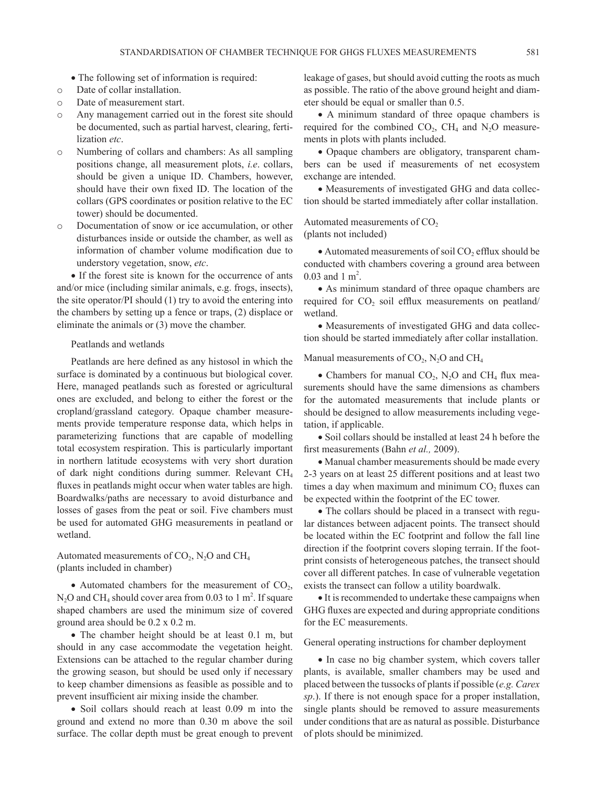- The following set of information is required:
- o Date of collar installation.
- o Date of measurement start.
- o Any management carried out in the forest site should be documented, such as partial harvest, clearing, fertilization *etc*.
- o Numbering of collars and chambers: As all sampling positions change, all measurement plots, *i.e*. collars, should be given a unique ID. Chambers, however, should have their own fixed ID. The location of the collars (GPS coordinates or position relative to the EC tower) should be documented.
- o Documentation of snow or ice accumulation, or other disturbances inside or outside the chamber, as well as information of chamber volume modification due to understory vegetation, snow, *etc*.

• If the forest site is known for the occurrence of ants and/or mice (including similar animals, e.g. frogs, insects), the site operator/PI should (1) try to avoid the entering into the chambers by setting up a fence or traps, (2) displace or eliminate the animals or (3) move the chamber.

# Peatlands and wetlands

Peatlands are here defined as any histosol in which the surface is dominated by a continuous but biological cover. Here, managed peatlands such as forested or agricultural ones are excluded, and belong to either the forest or the cropland/grassland category. Opaque chamber measurements provide temperature response data, which helps in parameterizing functions that are capable of modelling total ecosystem respiration. This is particularly important in northern latitude ecosystems with very short duration of dark night conditions during summer. Relevant CH4 fluxes in peatlands might occur when water tables are high. Boardwalks/paths are necessary to avoid disturbance and losses of gases from the peat or soil. Five chambers must be used for automated GHG measurements in peatland or wetland.

Automated measurements of  $CO<sub>2</sub>$ , N<sub>2</sub>O and CH<sub>4</sub> (plants included in chamber)

• Automated chambers for the measurement of  $CO<sub>2</sub>$ ,  $N_2O$  and CH<sub>4</sub> should cover area from 0.03 to 1 m<sup>2</sup>. If square shaped chambers are used the minimum size of covered ground area should be 0.2 x 0.2 m.

• The chamber height should be at least 0.1 m, but should in any case accommodate the vegetation height. Extensions can be attached to the regular chamber during the growing season, but should be used only if necessary to keep chamber dimensions as feasible as possible and to prevent insufficient air mixing inside the chamber.

• Soil collars should reach at least 0.09 m into the ground and extend no more than 0.30 m above the soil surface. The collar depth must be great enough to prevent leakage of gases, but should avoid cutting the roots as much as possible. The ratio of the above ground height and diameter should be equal or smaller than 0.5.

• A minimum standard of three opaque chambers is required for the combined  $CO<sub>2</sub>$ ,  $CH<sub>4</sub>$  and  $N<sub>2</sub>O$  measurements in plots with plants included.

• Opaque chambers are obligatory, transparent chambers can be used if measurements of net ecosystem exchange are intended.

• Measurements of investigated GHG and data collection should be started immediately after collar installation.

# Automated measurements of  $CO<sub>2</sub>$ (plants not included)

• Automated measurements of soil  $CO<sub>2</sub>$  efflux should be conducted with chambers covering a ground area between 0.03 and  $1 \text{ m}^2$ .

• As minimum standard of three opaque chambers are required for  $CO<sub>2</sub>$  soil efflux measurements on peatland/ wetland.

• Measurements of investigated GHG and data collection should be started immediately after collar installation.

## Manual measurements of  $CO<sub>2</sub>$ , N<sub>2</sub>O and CH<sub>4</sub>

• Chambers for manual  $CO<sub>2</sub>$ , N<sub>2</sub>O and CH<sub>4</sub> flux measurements should have the same dimensions as chambers for the automated measurements that include plants or should be designed to allow measurements including vegetation, if applicable.

• Soil collars should be installed at least 24 h before the first measurements (Bahn *et al.,* 2009).

• Manual chamber measurements should be made every 2-3 years on at least 25 different positions and at least two times a day when maximum and minimum  $CO<sub>2</sub>$  fluxes can be expected within the footprint of the EC tower.

• The collars should be placed in a transect with regular distances between adjacent points. The transect should be located within the EC footprint and follow the fall line direction if the footprint covers sloping terrain. If the footprint consists of heterogeneous patches, the transect should cover all different patches. In case of vulnerable vegetation exists the transect can follow a utility boardwalk.

• It is recommended to undertake these campaigns when GHG fluxes are expected and during appropriate conditions for the EC measurements.

## General operating instructions for chamber deployment

• In case no big chamber system, which covers taller plants, is available, smaller chambers may be used and placed between the tussocks of plants if possible (*e.g. Carex sp*.). If there is not enough space for a proper installation, single plants should be removed to assure measurements under conditions that are as natural as possible. Disturbance of plots should be minimized.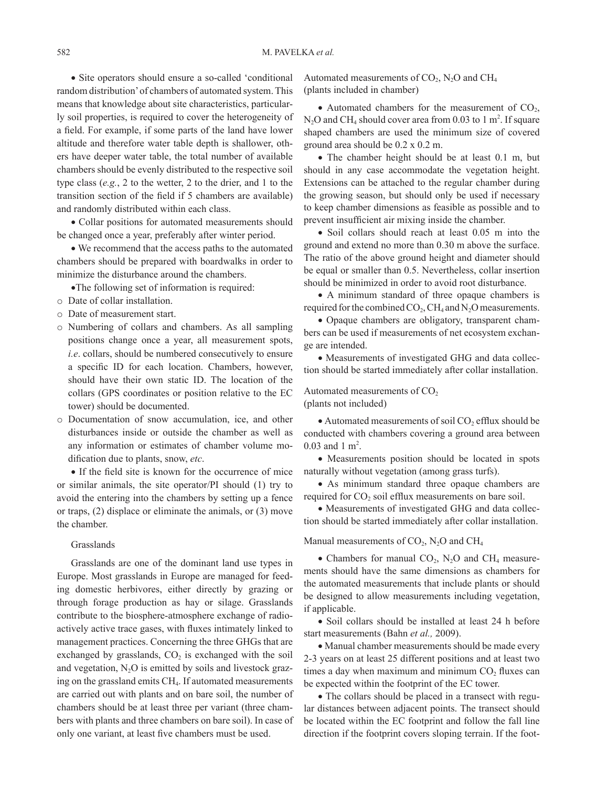• Site operators should ensure a so-called 'conditional random distribution' of chambers of automated system. This means that knowledge about site characteristics, particularly soil properties, is required to cover the heterogeneity of a field. For example, if some parts of the land have lower altitude and therefore water table depth is shallower, others have deeper water table, the total number of available chambers should be evenly distributed to the respective soil type class (*e.g.*, 2 to the wetter, 2 to the drier, and 1 to the transition section of the field if 5 chambers are available) and randomly distributed within each class.

• Collar positions for automated measurements should be changed once a year, preferably after winter period.

• We recommend that the access paths to the automated chambers should be prepared with boardwalks in order to minimize the disturbance around the chambers.

•The following set of information is required:

- o Date of collar installation.
- o Date of measurement start.
- o Numbering of collars and chambers. As all sampling positions change once a year, all measurement spots, *i.e*. collars, should be numbered consecutively to ensure a specific ID for each location. Chambers, however, should have their own static ID. The location of the collars (GPS coordinates or position relative to the EC tower) should be documented.
- o Documentation of snow accumulation, ice, and other disturbances inside or outside the chamber as well as any information or estimates of chamber volume modification due to plants, snow, *etc*.

• If the field site is known for the occurrence of mice or similar animals, the site operator/PI should (1) try to avoid the entering into the chambers by setting up a fence or traps, (2) displace or eliminate the animals, or (3) move the chamber.

## Grasslands

Grasslands are one of the dominant land use types in Europe. Most grasslands in Europe are managed for feeding domestic herbivores, either directly by grazing or through forage production as hay or silage. Grasslands contribute to the biosphere-atmosphere exchange of radioactively active trace gases, with fluxes intimately linked to management practices. Concerning the three GHGs that are exchanged by grasslands,  $CO<sub>2</sub>$  is exchanged with the soil and vegetation,  $N_2O$  is emitted by soils and livestock grazing on the grassland emits CH<sub>4</sub>. If automated measurements are carried out with plants and on bare soil, the number of chambers should be at least three per variant (three chambers with plants and three chambers on bare soil). In case of only one variant, at least five chambers must be used.

Automated measurements of  $CO<sub>2</sub>$ , N<sub>2</sub>O and CH<sub>4</sub> (plants included in chamber)

• Automated chambers for the measurement of  $CO<sub>2</sub>$ ,  $N_2O$  and CH<sub>4</sub> should cover area from 0.03 to 1 m<sup>2</sup>. If square shaped chambers are used the minimum size of covered ground area should be 0.2 x 0.2 m.

• The chamber height should be at least 0.1 m, but should in any case accommodate the vegetation height. Extensions can be attached to the regular chamber during the growing season, but should only be used if necessary to keep chamber dimensions as feasible as possible and to prevent insufficient air mixing inside the chamber.

• Soil collars should reach at least 0.05 m into the ground and extend no more than 0.30 m above the surface. The ratio of the above ground height and diameter should be equal or smaller than 0.5. Nevertheless, collar insertion should be minimized in order to avoid root disturbance.

• A minimum standard of three opaque chambers is required for the combined  $CO_2$ ,  $CH_4$  and  $N_2O$  measurements.

• Opaque chambers are obligatory, transparent chambers can be used if measurements of net ecosystem exchange are intended.

• Measurements of investigated GHG and data collection should be started immediately after collar installation.

# Automated measurements of CO<sub>2</sub> (plants not included)

• Automated measurements of soil  $CO<sub>2</sub>$  efflux should be conducted with chambers covering a ground area between 0.03 and  $1 \text{ m}^2$ .

• Measurements position should be located in spots naturally without vegetation (among grass turfs).

• As minimum standard three opaque chambers are required for  $CO<sub>2</sub>$  soil efflux measurements on bare soil.

• Measurements of investigated GHG and data collection should be started immediately after collar installation.

## Manual measurements of  $CO<sub>2</sub>$ , N<sub>2</sub>O and CH<sub>4</sub>

• Chambers for manual  $CO<sub>2</sub>$ , N<sub>2</sub>O and CH<sub>4</sub> measurements should have the same dimensions as chambers for the automated measurements that include plants or should be designed to allow measurements including vegetation, if applicable.

• Soil collars should be installed at least 24 h before start measurements (Bahn *et al.,* 2009).

• Manual chamber measurements should be made every 2-3 years on at least 25 different positions and at least two times a day when maximum and minimum  $CO<sub>2</sub>$  fluxes can be expected within the footprint of the EC tower.

• The collars should be placed in a transect with regular distances between adjacent points. The transect should be located within the EC footprint and follow the fall line direction if the footprint covers sloping terrain. If the foot-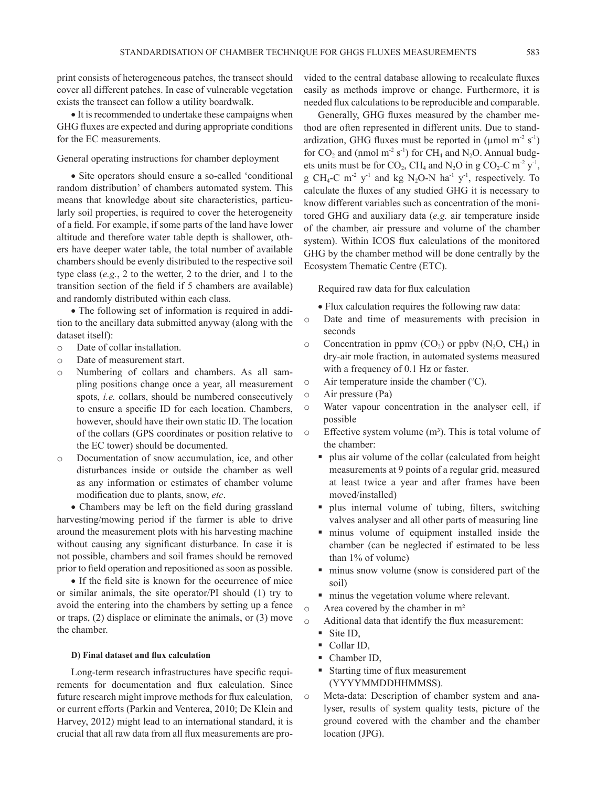print consists of heterogeneous patches, the transect should cover all different patches. In case of vulnerable vegetation exists the transect can follow a utility boardwalk.

• It is recommended to undertake these campaigns when GHG fluxes are expected and during appropriate conditions for the EC measurements.

## General operating instructions for chamber deployment

• Site operators should ensure a so-called 'conditional random distribution' of chambers automated system. This means that knowledge about site characteristics, particularly soil properties, is required to cover the heterogeneity of a field. For example, if some parts of the land have lower altitude and therefore water table depth is shallower, others have deeper water table, the total number of available chambers should be evenly distributed to the respective soil type class (*e.g.*, 2 to the wetter, 2 to the drier, and 1 to the transition section of the field if 5 chambers are available) and randomly distributed within each class.

• The following set of information is required in addition to the ancillary data submitted anyway (along with the dataset itself):

- o Date of collar installation.
- o Date of measurement start.
- o Numbering of collars and chambers. As all sampling positions change once a year, all measurement spots, *i.e.* collars, should be numbered consecutively to ensure a specific ID for each location. Chambers, however, should have their own static ID. The location of the collars (GPS coordinates or position relative to the EC tower) should be documented.
- o Documentation of snow accumulation, ice, and other disturbances inside or outside the chamber as well as any information or estimates of chamber volume modification due to plants, snow, *etc*.

• Chambers may be left on the field during grassland harvesting/mowing period if the farmer is able to drive around the measurement plots with his harvesting machine without causing any significant disturbance. In case it is not possible, chambers and soil frames should be removed prior to field operation and repositioned as soon as possible.

• If the field site is known for the occurrence of mice or similar animals, the site operator/PI should (1) try to avoid the entering into the chambers by setting up a fence or traps, (2) displace or eliminate the animals, or (3) move the chamber.

#### **D) Final dataset and flux calculation**

Long-term research infrastructures have specific requirements for documentation and flux calculation. Since future research might improve methods for flux calculation, or current efforts (Parkin and Venterea, 2010; De Klein and Harvey, 2012) might lead to an international standard, it is crucial that all raw data from all flux measurements are provided to the central database allowing to recalculate fluxes easily as methods improve or change. Furthermore, it is needed flux calculations to be reproducible and comparable.

Generally, GHG fluxes measured by the chamber method are often represented in different units. Due to standardization, GHG fluxes must be reported in  $(\mu \text{mol m}^2 \text{ s}^1)$ for  $CO_2$  and (nmol m<sup>-2</sup> s<sup>-1</sup>) for CH<sub>4</sub> and N<sub>2</sub>O. Annual budgets units must be for  $CO_2$ ,  $CH_4$  and  $N_2O$  in g  $CO_2$ -C m<sup>-2</sup> y<sup>-1</sup>, g CH<sub>4</sub>-C m<sup>-2</sup> y<sup>-1</sup> and kg N<sub>2</sub>O-N ha<sup>-1</sup> y<sup>-1</sup>, respectively. To calculate the fluxes of any studied GHG it is necessary to know different variables such as concentration of the monitored GHG and auxiliary data (*e.g.* air temperature inside of the chamber, air pressure and volume of the chamber system). Within ICOS flux calculations of the monitored GHG by the chamber method will be done centrally by the Ecosystem Thematic Centre (ETC).

Required raw data for flux calculation

- Flux calculation requires the following raw data:
- o Date and time of measurements with precision in seconds
- $\circ$  Concentration in ppmv (CO<sub>2</sub>) or ppbv (N<sub>2</sub>O, CH<sub>4</sub>) in dry-air mole fraction, in automated systems measured with a frequency of 0.1 Hz or faster.
- $\circ$  Air temperature inside the chamber (°C).
- o Air pressure (Pa)
- o Water vapour concentration in the analyser cell, if possible
- $\circ$  Effective system volume (m<sup>3</sup>). This is total volume of the chamber:
	- plus air volume of the collar (calculated from height measurements at 9 points of a regular grid, measured at least twice a year and after frames have been moved/installed)
	- **p** plus internal volume of tubing, filters, switching valves analyser and all other parts of measuring line
	- minus volume of equipment installed inside the chamber (can be neglected if estimated to be less than 1% of volume)
	- minus snow volume (snow is considered part of the soil)
	- minus the vegetation volume where relevant.
- o Area covered by the chamber in m²
- o Aditional data that identify the flux measurement:
	- **Site ID,**
	- Collar ID.
	- Chamber ID,
	- Starting time of flux measurement (YYYYMMDDHHMMSS).
- o Meta-data: Description of chamber system and analyser, results of system quality tests, picture of the ground covered with the chamber and the chamber location (JPG).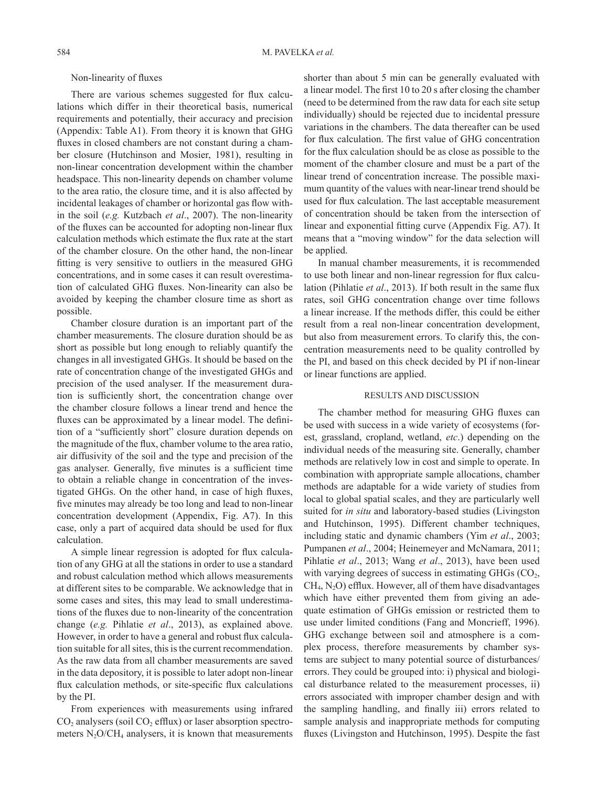## Non-linearity of fluxes

There are various schemes suggested for flux calculations which differ in their theoretical basis, numerical requirements and potentially, their accuracy and precision (Appendix: Table A1). From theory it is known that GHG fluxes in closed chambers are not constant during a chamber closure (Hutchinson and Mosier, 1981), resulting in non-linear concentration development within the chamber headspace. This non-linearity depends on chamber volume to the area ratio, the closure time, and it is also affected by incidental leakages of chamber or horizontal gas flow within the soil (*e.g.* Kutzbach *et al*., 2007). The non-linearity of the fluxes can be accounted for adopting non-linear flux calculation methods which estimate the flux rate at the start of the chamber closure. On the other hand, the non-linear fitting is very sensitive to outliers in the measured GHG concentrations, and in some cases it can result overestimation of calculated GHG fluxes. Non-linearity can also be avoided by keeping the chamber closure time as short as possible.

Chamber closure duration is an important part of the chamber measurements. The closure duration should be as short as possible but long enough to reliably quantify the changes in all investigated GHGs. It should be based on the rate of concentration change of the investigated GHGs and precision of the used analyser. If the measurement duration is sufficiently short, the concentration change over the chamber closure follows a linear trend and hence the fluxes can be approximated by a linear model. The definition of a "sufficiently short" closure duration depends on the magnitude of the flux, chamber volume to the area ratio, air diffusivity of the soil and the type and precision of the gas analyser. Generally, five minutes is a sufficient time to obtain a reliable change in concentration of the investigated GHGs. On the other hand, in case of high fluxes, five minutes may already be too long and lead to non-linear concentration development (Appendix, Fig. A7). In this case, only a part of acquired data should be used for flux calculation.

A simple linear regression is adopted for flux calculation of any GHG at all the stations in order to use a standard and robust calculation method which allows measurements at different sites to be comparable. We acknowledge that in some cases and sites, this may lead to small underestimations of the fluxes due to non-linearity of the concentration change (*e.g.* Pihlatie *et al*., 2013), as explained above. However, in order to have a general and robust flux calculation suitable for all sites, this is the current recommendation. As the raw data from all chamber measurements are saved in the data depository, it is possible to later adopt non-linear flux calculation methods, or site-specific flux calculations by the PI.

From experiences with measurements using infrared  $CO<sub>2</sub>$  analysers (soil  $CO<sub>2</sub>$  efflux) or laser absorption spectrometers  $N_2O/CH_4$  analysers, it is known that measurements

shorter than about 5 min can be generally evaluated with a linear model. The first 10 to 20 s after closing the chamber (need to be determined from the raw data for each site setup individually) should be rejected due to incidental pressure variations in the chambers. The data thereafter can be used for flux calculation. The first value of GHG concentration for the flux calculation should be as close as possible to the moment of the chamber closure and must be a part of the linear trend of concentration increase. The possible maximum quantity of the values with near-linear trend should be used for flux calculation. The last acceptable measurement of concentration should be taken from the intersection of linear and exponential fitting curve (Appendix Fig. A7). It means that a "moving window" for the data selection will be applied.

In manual chamber measurements, it is recommended to use both linear and non-linear regression for flux calculation (Pihlatie *et al*., 2013). If both result in the same flux rates, soil GHG concentration change over time follows a linear increase. If the methods differ, this could be either result from a real non-linear concentration development, but also from measurement errors. To clarify this, the concentration measurements need to be quality controlled by the PI, and based on this check decided by PI if non-linear or linear functions are applied.

## RESULTS AND DISCUSSION

The chamber method for measuring GHG fluxes can be used with success in a wide variety of ecosystems (forest, grassland, cropland, wetland, *etc*.) depending on the individual needs of the measuring site. Generally, chamber methods are relatively low in cost and simple to operate. In combination with appropriate sample allocations, chamber methods are adaptable for a wide variety of studies from local to global spatial scales, and they are particularly well suited for *in situ* and laboratory-based studies (Livingston and Hutchinson, 1995). Different chamber techniques, including static and dynamic chambers (Yim *et al*., 2003; Pumpanen *et al*., 2004; Heinemeyer and McNamara, 2011; Pihlatie *et al*., 2013; Wang *et al*., 2013), have been used with varying degrees of success in estimating  $GHGs (CO<sub>2</sub>,$  $CH<sub>4</sub>, N<sub>2</sub>O$ ) efflux. However, all of them have disadvantages which have either prevented them from giving an adequate estimation of GHGs emission or restricted them to use under limited conditions (Fang and Moncrieff, 1996). GHG exchange between soil and atmosphere is a complex process, therefore measurements by chamber systems are subject to many potential source of disturbances/ errors. They could be grouped into: i) physical and biological disturbance related to the measurement processes, ii) errors associated with improper chamber design and with the sampling handling, and finally iii) errors related to sample analysis and inappropriate methods for computing fluxes (Livingston and Hutchinson, 1995). Despite the fast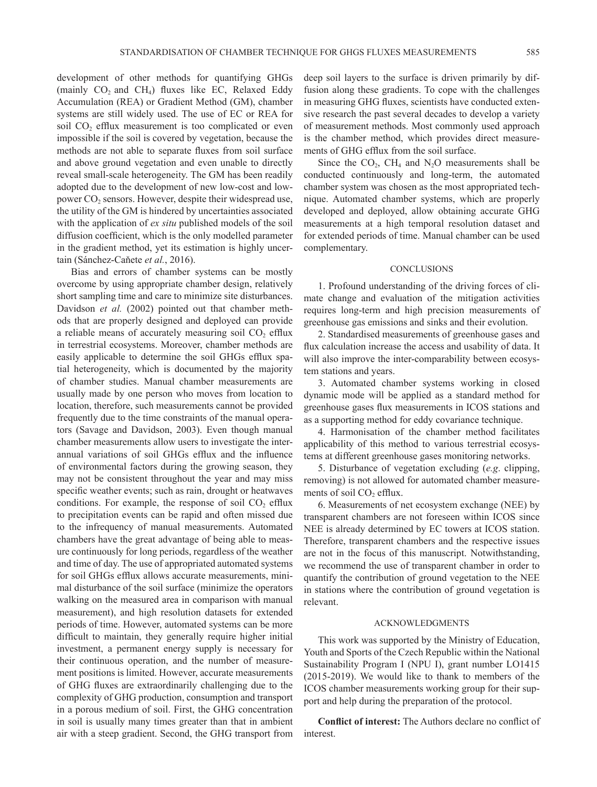development of other methods for quantifying GHGs (mainly  $CO<sub>2</sub>$  and  $CH<sub>4</sub>$ ) fluxes like EC, Relaxed Eddy Accumulation (REA) or Gradient Method (GM), chamber systems are still widely used. The use of EC or REA for soil  $CO<sub>2</sub>$  efflux measurement is too complicated or even impossible if the soil is covered by vegetation, because the methods are not able to separate fluxes from soil surface and above ground vegetation and even unable to directly reveal small-scale heterogeneity. The GM has been readily adopted due to the development of new low-cost and lowpower  $CO<sub>2</sub>$  sensors. However, despite their widespread use, the utility of the GM is hindered by uncertainties associated with the application of *ex situ* published models of the soil diffusion coefficient, which is the only modelled parameter in the gradient method, yet its estimation is highly uncertain (Sánchez-Caňete *et al.*, 2016).

Bias and errors of chamber systems can be mostly overcome by using appropriate chamber design, relatively short sampling time and care to minimize site disturbances. Davidson *et al.* (2002) pointed out that chamber methods that are properly designed and deployed can provide a reliable means of accurately measuring soil  $CO<sub>2</sub>$  efflux in terrestrial ecosystems. Moreover, chamber methods are easily applicable to determine the soil GHGs efflux spatial heterogeneity, which is documented by the majority of chamber studies. Manual chamber measurements are usually made by one person who moves from location to location, therefore, such measurements cannot be provided frequently due to the time constraints of the manual operators (Savage and Davidson, 2003). Even though manual chamber measurements allow users to investigate the interannual variations of soil GHGs efflux and the influence of environmental factors during the growing season, they may not be consistent throughout the year and may miss specific weather events; such as rain, drought or heatwaves conditions. For example, the response of soil  $CO<sub>2</sub>$  efflux to precipitation events can be rapid and often missed due to the infrequency of manual measurements. Automated chambers have the great advantage of being able to measure continuously for long periods, regardless of the weather and time of day. The use of appropriated automated systems for soil GHGs efflux allows accurate measurements, minimal disturbance of the soil surface (minimize the operators walking on the measured area in comparison with manual measurement), and high resolution datasets for extended periods of time. However, automated systems can be more difficult to maintain, they generally require higher initial investment, a permanent energy supply is necessary for their continuous operation, and the number of measurement positions is limited. However, accurate measurements of GHG fluxes are extraordinarily challenging due to the complexity of GHG production, consumption and transport in a porous medium of soil. First, the GHG concentration in soil is usually many times greater than that in ambient air with a steep gradient. Second, the GHG transport from deep soil layers to the surface is driven primarily by diffusion along these gradients. To cope with the challenges in measuring GHG fluxes, scientists have conducted extensive research the past several decades to develop a variety of measurement methods. Most commonly used approach is the chamber method, which provides direct measurements of GHG efflux from the soil surface.

Since the  $CO<sub>2</sub>$ , CH<sub>4</sub> and N<sub>2</sub>O measurements shall be conducted continuously and long-term, the automated chamber system was chosen as the most appropriated technique. Automated chamber systems, which are properly developed and deployed, allow obtaining accurate GHG measurements at a high temporal resolution dataset and for extended periods of time. Manual chamber can be used complementary.

#### **CONCLUSIONS**

1. Profound understanding of the driving forces of climate change and evaluation of the mitigation activities requires long-term and high precision measurements of greenhouse gas emissions and sinks and their evolution.

2. Standardised measurements of greenhouse gases and flux calculation increase the access and usability of data. It will also improve the inter-comparability between ecosystem stations and years.

3. Automated chamber systems working in closed dynamic mode will be applied as a standard method for greenhouse gases flux measurements in ICOS stations and as a supporting method for eddy covariance technique.

4. Harmonisation of the chamber method facilitates applicability of this method to various terrestrial ecosystems at different greenhouse gases monitoring networks.

5. Disturbance of vegetation excluding (*e.g*. clipping, removing) is not allowed for automated chamber measurements of soil  $CO<sub>2</sub>$  efflux.

6. Measurements of net ecosystem exchange (NEE) by transparent chambers are not foreseen within ICOS since NEE is already determined by EC towers at ICOS station. Therefore, transparent chambers and the respective issues are not in the focus of this manuscript. Notwithstanding, we recommend the use of transparent chamber in order to quantify the contribution of ground vegetation to the NEE in stations where the contribution of ground vegetation is relevant.

## ACKNOWLEDGMENTS

This work was supported by the Ministry of Education, Youth and Sports of the Czech Republic within the National Sustainability Program I (NPU I), grant number LO1415 (2015-2019). We would like to thank to members of the ICOS chamber measurements working group for their support and help during the preparation of the protocol.

**Conflict of interest:** The Authors declare no conflict of interest.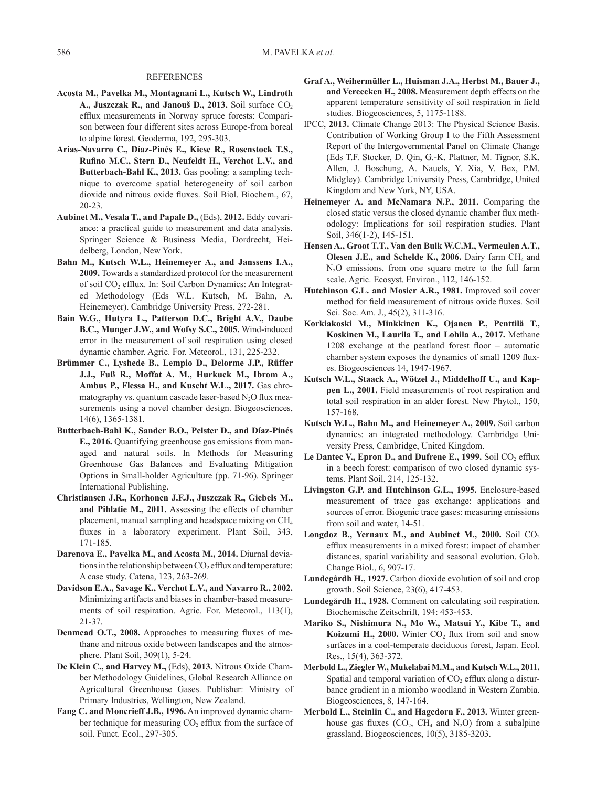### REFERENCES

- **Acosta M., Pavelka M., Montagnani L., Kutsch W., Lindroth**  A., Juszczak R., and Janouš D., 2013. Soil surface CO<sub>2</sub> efflux measurements in Norway spruce forests: Comparison between four different sites across Europe-from boreal to alpine forest. Geoderma, 192, 295-303.
- **Arias-Navarro C., Díaz-Pinés E., Kiese R., Rosenstock T.S., Rufino M.C., Stern D., Neufeldt H., Verchot L.V., and Butterbach-Bahl K., 2013.** Gas pooling: a sampling technique to overcome spatial heterogeneity of soil carbon dioxide and nitrous oxide fluxes. Soil Biol. Biochem., 67, 20-23.
- **Aubinet M., Vesala T., and Papale D.,** (Eds), **2012.** Eddy covariance: a practical guide to measurement and data analysis. Springer Science & Business Media, Dordrecht, Heidelberg, London, New York.
- **Bahn M., Kutsch W.L., Heinemeyer A., and Janssens I.A., 2009.** Towards a standardized protocol for the measurement of soil CO<sub>2</sub> efflux. In: Soil Carbon Dynamics: An Integrated Methodology (Eds W.L. Kutsch, M. Bahn, A. Heinemeyer). Cambridge University Press, 272-281.
- **Bain W.G., Hutyra L., Patterson D.C., Bright A.V., Daube B.C., Munger J.W., and Wofsy S.C., 2005.** Wind-induced error in the measurement of soil respiration using closed dynamic chamber. Agric. For. Meteorol., 131, 225-232.
- **Brümmer C., Lyshede B., Lempio D., Delorme J.P., Rüffer J.J., Fuß R., Moffat A. M., Hurkuck M., Ibrom A., Ambus P., Flessa H., and Kuscht W.L., 2017.** Gas chromatography vs. quantum cascade laser-based  $N_2O$  flux measurements using a novel chamber design. Biogeosciences, 14(6), 1365-1381.
- **Butterbach-Bahl K., Sander B.O., Pelster D., and Díaz-Pinés E., 2016.** Quantifying greenhouse gas emissions from managed and natural soils. In Methods for Measuring Greenhouse Gas Balances and Evaluating Mitigation Options in Small-holder Agriculture (pp. 71-96). Springer International Publishing.
- **Christiansen J.R., Korhonen J.F.J., Juszczak R., Giebels M., and Pihlatie M., 2011.** Assessing the effects of chamber placement, manual sampling and headspace mixing on CH4 fluxes in a laboratory experiment. Plant Soil, 343, 171-185.
- **Darenova E., Pavelka M., and Acosta M., 2014.** Diurnal deviations in the relationship between  $CO<sub>2</sub>$  efflux and temperature: A case study. Catena, 123, 263-269.
- **Davidson E.A., Savage K., Verchot L.V., and Navarro R., 2002.** Minimizing artifacts and biases in chamber-based measurements of soil respiration. Agric. For. Meteorol., 113(1), 21-37.
- **Denmead O.T., 2008.** Approaches to measuring fluxes of methane and nitrous oxide between landscapes and the atmosphere. Plant Soil, 309(1), 5-24.
- **De Klein C., and Harvey M.,** (Eds), **2013.** Nitrous Oxide Chamber Methodology Guidelines, Global Research Alliance on Agricultural Greenhouse Gases. Publisher: Ministry of Primary Industries, Wellington, New Zealand.
- **Fang C. and Moncrieff J.B., 1996.** An improved dynamic chamber technique for measuring  $CO<sub>2</sub>$  efflux from the surface of soil. Funct. Ecol., 297-305.
- **Graf A., Weihermüller L., Huisman J.A., Herbst M., Bauer J., and Vereecken H., 2008.** Measurement depth effects on the apparent temperature sensitivity of soil respiration in field studies. Biogeosciences, 5, 1175-1188.
- IPCC, **2013.** Climate Change 2013: The Physical Science Basis. Contribution of Working Group I to the Fifth Assessment Report of the Intergovernmental Panel on Climate Change (Eds T.F. Stocker, D. Qin, G.-K. Plattner, M. Tignor, S.K. Allen, J. Boschung, A. Nauels, Y. Xia, V. Bex, P.M. Midgley). Cambridge University Press, Cambridge, United Kingdom and New York, NY, USA.
- **Heinemeyer A. and McNamara N.P., 2011.** Comparing the closed static versus the closed dynamic chamber flux methodology: Implications for soil respiration studies. Plant Soil, 346(1-2), 145-151.
- **Hensen A., Groot T.T., Van den Bulk W.C.M., Vermeulen A.T.,**  Olesen J.E., and Schelde K., 2006. Dairy farm CH<sub>4</sub> and N2O emissions, from one square metre to the full farm scale. Agric. Ecosyst. Environ., 112, 146-152.
- **Hutchinson G.L. and Mosier A.R., 1981.** Improved soil cover method for field measurement of nitrous oxide fluxes. Soil Sci. Soc. Am. J., 45(2), 311-316.
- **Korkiakoski M., Minkkinen K., Ojanen P., Penttilä T., Koskinen M., Laurila T., and Lohila A., 2017.** Methane 1208 exchange at the peatland forest floor – automatic chamber system exposes the dynamics of small 1209 fluxes. Biogeosciences 14, 1947-1967.
- **Kutsch W.L., Staack A., Wötzel J., Middelhoff U., and Kappen L., 2001.** Field measurements of root respiration and total soil respiration in an alder forest. New Phytol., 150, 157-168.
- **Kutsch W.L., Bahn M., and Heinemeyer A., 2009.** Soil carbon dynamics: an integrated methodology. Cambridge University Press, Cambridge, United Kingdom.
- Le Dantec V., Epron D., and Dufrene E., 1999. Soil CO<sub>2</sub> efflux in a beech forest: comparison of two closed dynamic systems. Plant Soil, 214, 125-132.
- **Livingston G.P. and Hutchinson G.L., 1995.** Enclosure-based measurement of trace gas exchange: applications and sources of error. Biogenic trace gases: measuring emissions from soil and water, 14-51.
- Longdoz B., Yernaux M., and Aubinet M., 2000. Soil CO<sub>2</sub> efflux measurements in a mixed forest: impact of chamber distances, spatial variability and seasonal evolution. Glob. Change Biol., 6, 907-17.
- **Lundegårdh H., 1927.** Carbon dioxide evolution of soil and crop growth. Soil Science, 23(6), 417-453.
- **Lundegårdh H., 1928.** Comment on calculating soil respiration. Biochemische Zeitschrift, 194: 453-453.
- **Mariko S., Nishimura N., Mo W., Matsui Y., Kibe T., and Koizumi H., 2000.** Winter  $CO<sub>2</sub>$  flux from soil and snow surfaces in a cool-temperate deciduous forest, Japan. Ecol. Res., 15(4), 363-372.
- **Merbold L., Ziegler W., Mukelabai M.M., and Kutsch W.L., 2011.** Spatial and temporal variation of  $CO<sub>2</sub>$  efflux along a disturbance gradient in a miombo woodland in Western Zambia. Biogeosciences, 8, 147-164.
- **Merbold L., Steinlin C., and Hagedorn F., 2013.** Winter greenhouse gas fluxes  $(CO_2, CH_4 \text{ and } N_2O)$  from a subalpine grassland. Biogeosciences, 10(5), 3185-3203.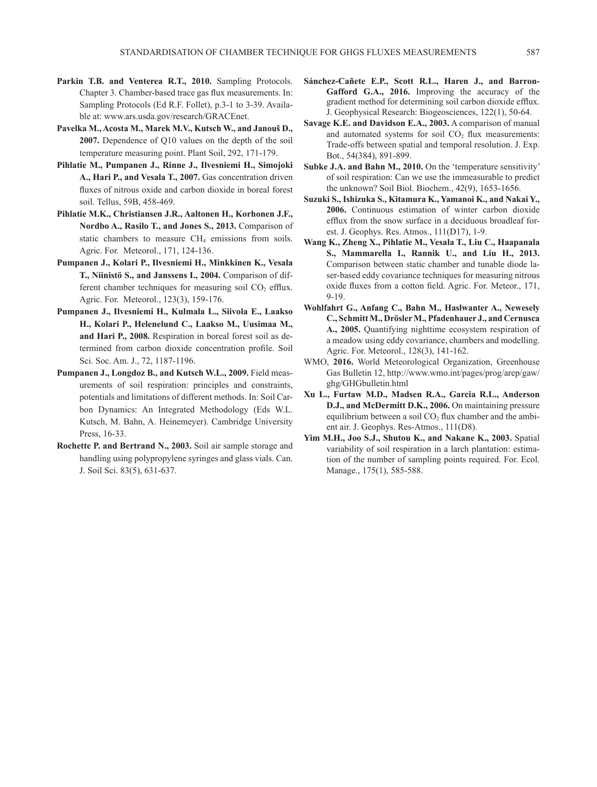- **Parkin T.B. and Venterea R.T., 2010.** Sampling Protocols. Chapter 3. Chamber-based trace gas flux measurements. In: Sampling Protocols (Ed R.F. Follet), p.3-1 to 3-39. Available at: www.ars.usda.gov/research/GRACEnet.
- **Pavelka M., Acosta M., Marek M.V., Kutsch W., and Janouš D., 2007.** Dependence of Q10 values on the depth of the soil temperature measuring point. Plant Soil, 292, 171-179.
- **Pihlatie M., Pumpanen J., Rinne J., Ilvesniemi H., Simojoki A., Hari P., and Vesala T., 2007.** Gas concentration driven fluxes of nitrous oxide and carbon dioxide in boreal forest soil. Tellus, 59B, 458-469.
- **Pihlatie M.K., Christiansen J.R., Aaltonen H., Korhonen J.F., Nordbo A., Rasilo T., and Jones S., 2013.** Comparison of static chambers to measure  $CH<sub>4</sub>$  emissions from soils. Agric. For. Meteorol., 171, 124-136.
- **Pumpanen J., Kolari P., Ilvesniemi H., Minkkinen K., Vesala T., Niinistö S., and Janssens I., 2004.** Comparison of different chamber techniques for measuring soil  $CO<sub>2</sub>$  efflux. Agric. For. Meteorol., 123(3), 159-176.
- **Pumpanen J., Ilvesniemi H., Kulmala L., Siivola E., Laakso H., Kolari P., Helenelund C., Laakso M., Uusimaa M., and Hari P., 2008.** Respiration in boreal forest soil as determined from carbon dioxide concentration profile. Soil Sci. Soc. Am. J., 72, 1187-1196.
- **Pumpanen J., Longdoz B., and Kutsch W.L., 2009.** Field measurements of soil respiration: principles and constraints, potentials and limitations of different methods. In: Soil Carbon Dynamics: An Integrated Methodology (Eds W.L. Kutsch, M. Bahn, A. Heinemeyer). Cambridge University Press, 16-33.
- **Rochette P. and Bertrand N., 2003.** Soil air sample storage and handling using polypropylene syringes and glass vials. Can. J. Soil Sci. 83(5), 631-637.
- **Sánchez-Cañete E.P., Scott R.L., Haren J., and Barron-Gafford G.A., 2016.** Improving the accuracy of the gradient method for determining soil carbon dioxide efflux. J. Geophysical Research: Biogeosciences, 122(1), 50-64.
- **Savage K.E. and Davidson E.A., 2003.** A comparison of manual and automated systems for soil  $CO<sub>2</sub>$  flux measurements: Trade-offs between spatial and temporal resolution. J. Exp. Bot., 54(384), 891-899.
- **Subke J.A. and Bahn M., 2010.** On the 'temperature sensitivity' of soil respiration: Can we use the immeasurable to predict the unknown? Soil Biol. Biochem., 42(9), 1653-1656.
- **Suzuki S., Ishizuka S., Kitamura K., Yamanoi K., and Nakai Y., 2006.** Continuous estimation of winter carbon dioxide efflux from the snow surface in a deciduous broadleaf forest. J. Geophys. Res. Atmos., 111(D17), 1-9.
- **Wang K., Zheng X., Pihlatie M., Vesala T., Liu C., Haapanala S., Mammarella I., Rannik U., and Liu H., 2013.** Comparison between static chamber and tunable diode laser-based eddy covariance techniques for measuring nitrous oxide fluxes from a cotton field. Agric. For. Meteor., 171, 9-19.
- **Wohlfahrt G., Anfang C., Bahn M., Haslwanter A., Newesely C., Schmitt M., Drösler M., Pfadenhauer J., and Cernusca A., 2005.** Quantifying nighttime ecosystem respiration of a meadow using eddy covariance, chambers and modelling. Agric. For. Meteorol., 128(3), 141-162.
- WMO, **2016.** World Meteorological Organization, Greenhouse Gas Bulletin 12, http://www.wmo.int/pages/prog/arep/gaw/ ghg/GHGbulletin.html
- **Xu L., Furtaw M.D., Madsen R.A., Garcia R.L., Anderson D.J., and McDermitt D.K., 2006.** On maintaining pressure equilibrium between a soil  $CO<sub>2</sub>$  flux chamber and the ambient air. J. Geophys. Res-Atmos., 111(D8).
- **Yim M.H., Joo S.J., Shutou K., and Nakane K., 2003.** Spatial variability of soil respiration in a larch plantation: estimation of the number of sampling points required. For. Ecol. Manage., 175(1), 585-588.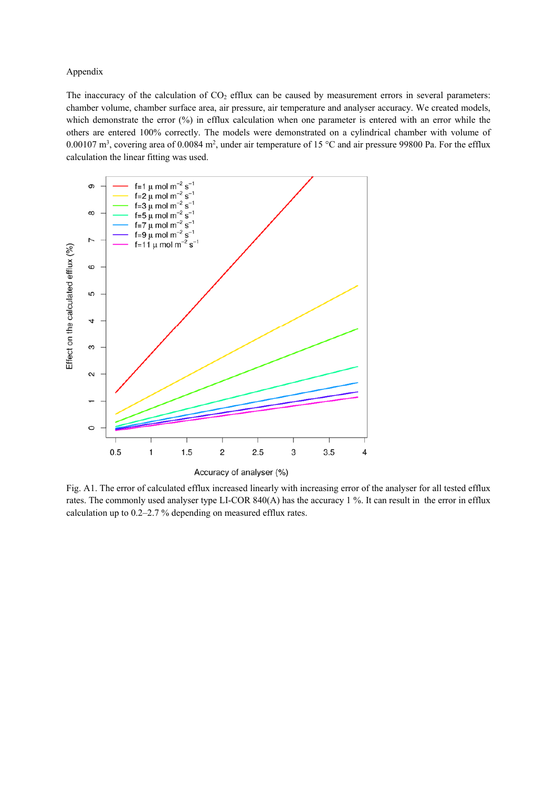# Appendix

The inaccuracy of the calculation of  $CO<sub>2</sub>$  efflux can be caused by measurement errors in several parameters: chamber volume, chamber surface area, air pressure, air temperature and analyser accuracy. We created models, which demonstrate the error (%) in efflux calculation when one parameter is entered with an error while the others are entered 100% correctly. The models were demonstrated on a cylindrical chamber with volume of 0.00107 m<sup>3</sup>, covering area of 0.0084 m<sup>2</sup>, under air temperature of 15 °C and air pressure 99800 Pa. For the efflux calculation the linear fitting was used.



Accuracy of analyser (%)

Fig. A1. The error of calculated efflux increased linearly with increasing error of the analyser for all tested efflux rates. The commonly used analyser type LI-COR 840(A) has the accuracy 1 %. It can result in the error in efflux calculation up to 0.2–2.7 % depending on measured efflux rates.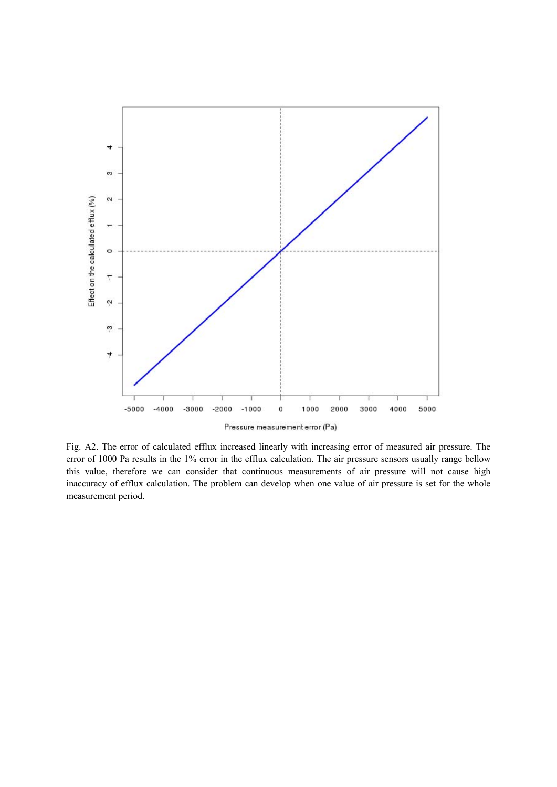

Fig. A2. The error of calculated efflux increased linearly with increasing error of measured air pressure. The error of 1000 Pa results in the 1% error in the efflux calculation. The air pressure sensors usually range bellow this value, therefore we can consider that continuous measurements of air pressure will not cause high inaccuracy of efflux calculation. The problem can develop when one value of air pressure is set for the whole measurement period.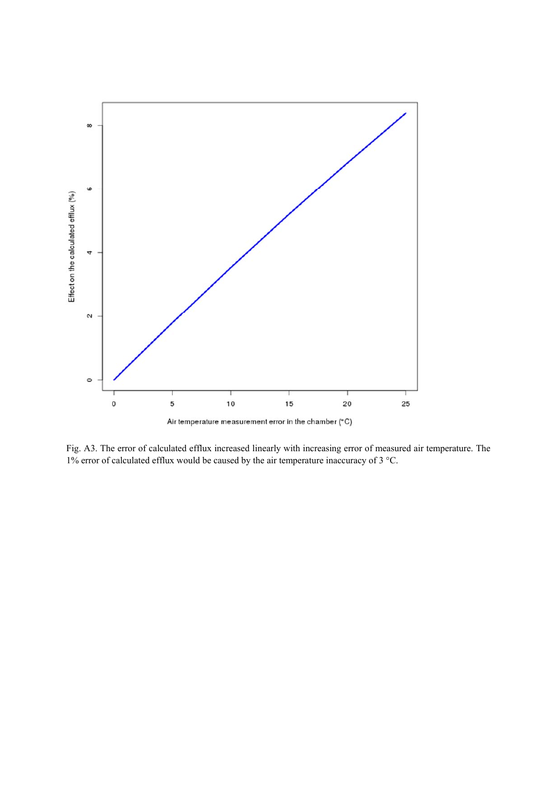

Fig. A3. The error of calculated efflux increased linearly with increasing error of measured air temperature. The 1% error of calculated efflux would be caused by the air temperature inaccuracy of 3 °C.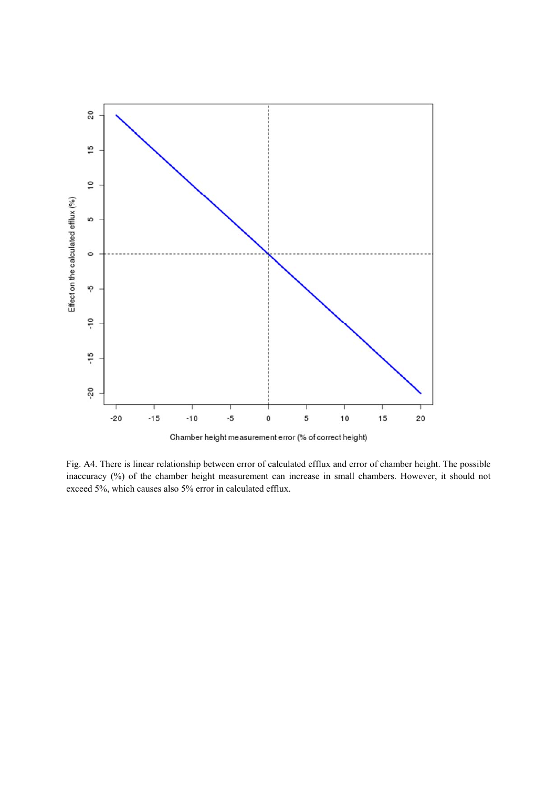

Fig. A4. There is linear relationship between error of calculated efflux and error of chamber height. The possible inaccuracy (%) of the chamber height measurement can increase in small chambers. However, it should not

exceed 5%, which causes also 5% error in calculated efflux.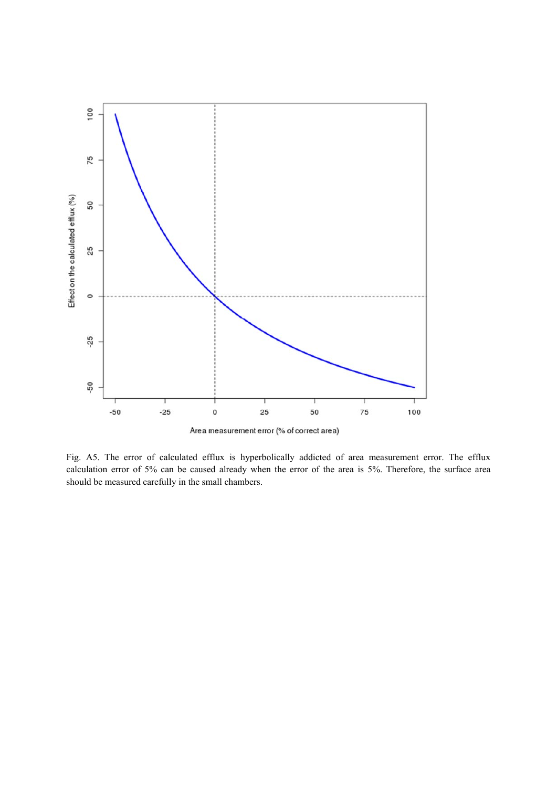

Fig. A5. The error of calculated efflux is hyperbolically addicted of area measurement error. The efflux calculation error of 5% can be caused already when the error of the area is 5%. Therefore, the surface area should be measured carefully in the small chambers.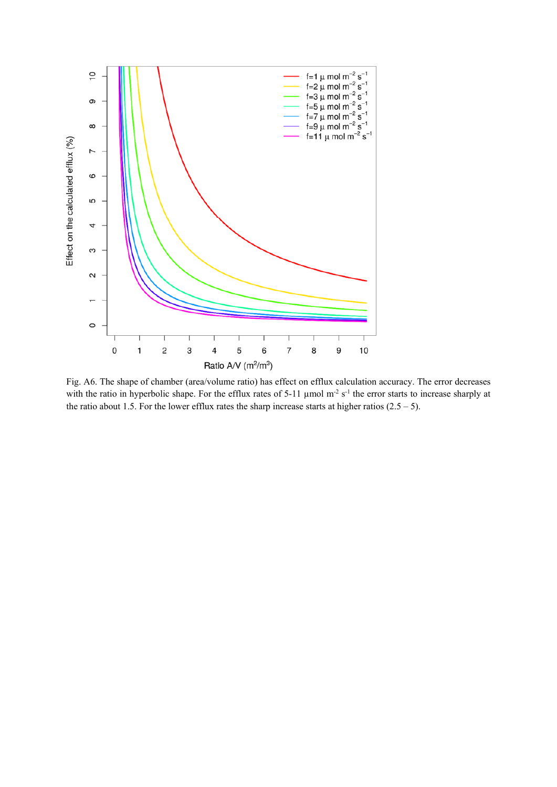

Fig. A6. The shape of chamber (area/volume ratio) has effect on efflux calculation accuracy. The error decreases with the ratio in hyperbolic shape. For the efflux rates of  $5-11 \mu$ mol m<sup>-2</sup> s<sup>-1</sup> the error starts to increase sharply at the ratio about 1.5. For the lower efflux rates the sharp increase starts at higher ratios  $(2.5 - 5)$ .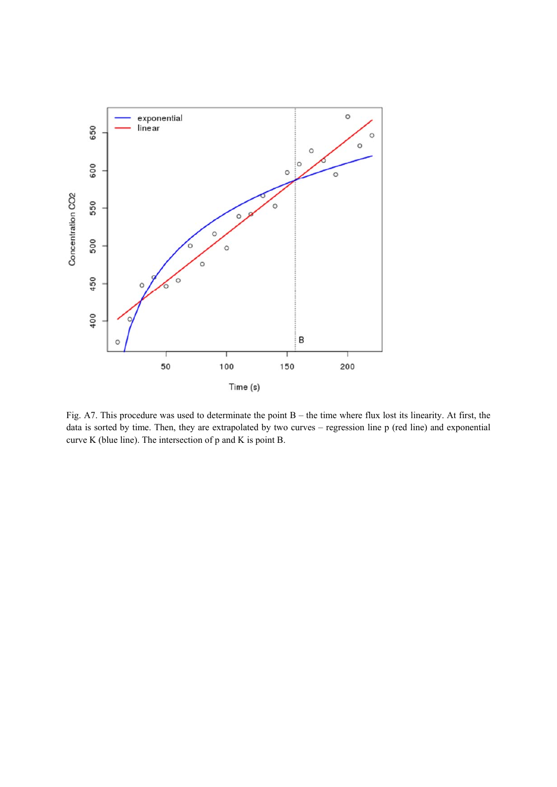

Fig. A7. This procedure was used to determinate the point B – the time where flux lost its linearity. At first, the data is sorted by time. Then, they are extrapolated by two curves – regression line p (red line) and exponential curve K (blue line). The intersection of p and K is point B.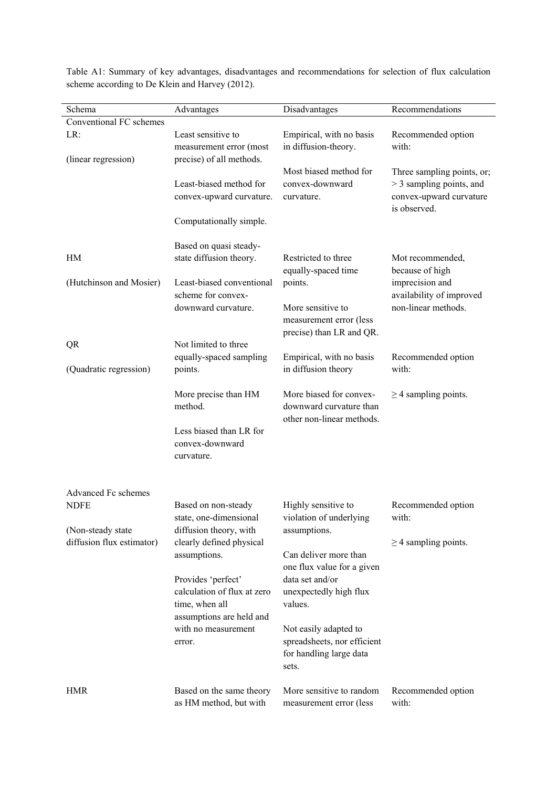Table A1: Summary of key advantages, disadvantages and recommendations for selection of flux calculation scheme according to De Klein and Harvey (2012).

| Schema                                                | Advantages                                                                                      | Disadvantages                                                                            | Recommendations                                                                                     |
|-------------------------------------------------------|-------------------------------------------------------------------------------------------------|------------------------------------------------------------------------------------------|-----------------------------------------------------------------------------------------------------|
| Conventional FC schemes<br>LR:<br>(linear regression) | Least sensitive to<br>measurement error (most<br>precise) of all methods.                       | Empirical, with no basis<br>in diffusion-theory.                                         | Recommended option<br>with:                                                                         |
|                                                       | Least-biased method for<br>convex-upward curvature.                                             | Most biased method for<br>convex-downward<br>curvature.                                  | Three sampling points, or;<br>$>$ 3 sampling points, and<br>convex-upward curvature<br>is observed. |
|                                                       | Computationally simple.                                                                         |                                                                                          |                                                                                                     |
| HM                                                    | Based on quasi steady-<br>state diffusion theory.                                               | Restricted to three<br>equally-spaced time                                               | Mot recommended,<br>because of high                                                                 |
| (Hutchinson and Mosier)                               | Least-biased conventional<br>scheme for convex-                                                 | points.                                                                                  | imprecision and<br>availability of improved                                                         |
|                                                       | downward curvature.                                                                             | More sensitive to<br>measurement error (less<br>precise) than LR and QR.                 | non-linear methods.                                                                                 |
| QR                                                    | Not limited to three<br>equally-spaced sampling                                                 | Empirical, with no basis                                                                 | Recommended option                                                                                  |
| (Quadratic regression)                                | points.                                                                                         | in diffusion theory                                                                      | with:                                                                                               |
|                                                       | More precise than HM<br>method.                                                                 | More biased for convex-<br>downward curvature than<br>other non-linear methods.          | $\geq$ 4 sampling points.                                                                           |
|                                                       | Less biased than LR for<br>convex-downward<br>curvature.                                        |                                                                                          |                                                                                                     |
| Advanced Fc schemes<br><b>NDFE</b>                    | Based on non-steady                                                                             | Highly sensitive to                                                                      | Recommended option                                                                                  |
| (Non-steady state                                     | state, one-dimensional<br>diffusion theory, with                                                | violation of underlying<br>assumptions.                                                  | with:                                                                                               |
| diffusion flux estimator)                             | clearly defined physical<br>assumptions.                                                        | Can deliver more than<br>one flux value for a given                                      | $\geq$ 4 sampling points.                                                                           |
|                                                       | Provides 'perfect'<br>calculation of flux at zero<br>time, when all<br>assumptions are held and | data set and/or<br>unexpectedly high flux<br>values.                                     |                                                                                                     |
|                                                       | with no measurement<br>error.                                                                   | Not easily adapted to<br>spreadsheets, nor efficient<br>for handling large data<br>sets. |                                                                                                     |
| <b>HMR</b>                                            | Based on the same theory<br>as HM method, but with                                              | More sensitive to random<br>measurement error (less                                      | Recommended option<br>with:                                                                         |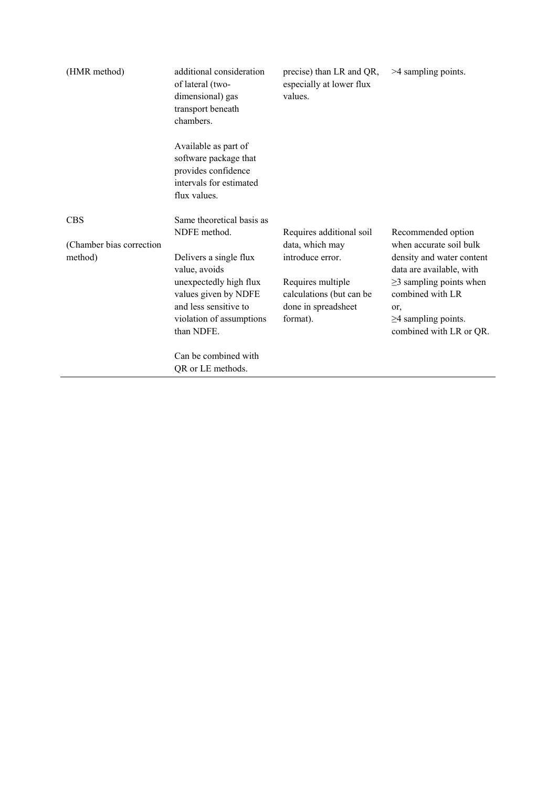| (HMR method)                        | additional consideration<br>of lateral (two-<br>dimensional) gas<br>transport beneath<br>chambers.              | precise) than LR and QR,<br>especially at lower flux<br>values.      | >4 sampling points.                                                              |
|-------------------------------------|-----------------------------------------------------------------------------------------------------------------|----------------------------------------------------------------------|----------------------------------------------------------------------------------|
|                                     | Available as part of<br>software package that<br>provides confidence<br>intervals for estimated<br>flux values. |                                                                      |                                                                                  |
| <b>CBS</b>                          | Same theoretical basis as                                                                                       |                                                                      |                                                                                  |
|                                     | NDFE method.                                                                                                    | Requires additional soil                                             | Recommended option                                                               |
| (Chamber bias correction<br>method) | Delivers a single flux<br>value, avoids                                                                         | data, which may<br>introduce error.                                  | when accurate soil bulk<br>density and water content<br>data are available, with |
|                                     | unexpectedly high flux<br>values given by NDFE<br>and less sensitive to                                         | Requires multiple<br>calculations (but can be<br>done in spreadsheet | $\geq$ 3 sampling points when<br>combined with LR<br>or,                         |
|                                     | violation of assumptions<br>than NDFE.                                                                          | format).                                                             | $\geq$ 4 sampling points.<br>combined with LR or QR.                             |
|                                     | Can be combined with                                                                                            |                                                                      |                                                                                  |
|                                     | OR or LE methods.                                                                                               |                                                                      |                                                                                  |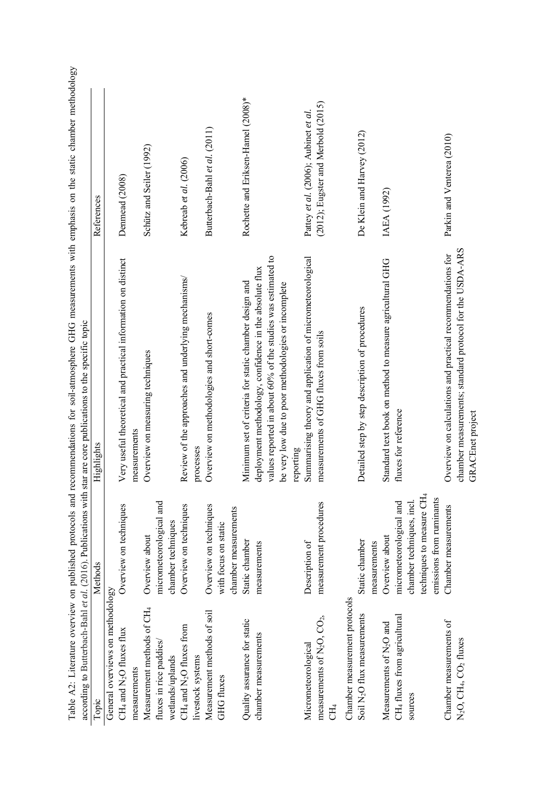|                                                                                                                                                                                                                                                                                 | References | Denmead (2008)                                                                       |              | Schütz and Seiler (1992)               |                                               | Kebreab et al. (2006)                               |                   | Butterbach-Bahl et al. (2011)                    |                      | Rochette and Eriksen-Hamel (2008)*                    |                                                                                                                                                                                             | Pattey et al. (2006); Aubinet et al.                      | $(2012)$ ; Eugster and Merbold $(2015)$       |                               | De Klein and Harvey (2012)                      | IAEA (1992)                                              |                                                                                               |                          | Parkin and Venterea (2010)                                                                                                                        |
|---------------------------------------------------------------------------------------------------------------------------------------------------------------------------------------------------------------------------------------------------------------------------------|------------|--------------------------------------------------------------------------------------|--------------|----------------------------------------|-----------------------------------------------|-----------------------------------------------------|-------------------|--------------------------------------------------|----------------------|-------------------------------------------------------|---------------------------------------------------------------------------------------------------------------------------------------------------------------------------------------------|-----------------------------------------------------------|-----------------------------------------------|-------------------------------|-------------------------------------------------|----------------------------------------------------------|-----------------------------------------------------------------------------------------------|--------------------------|---------------------------------------------------------------------------------------------------------------------------------------------------|
| Table A2: Literature overview on published protocols and recommendations for soil-atmosphere GHG measurements with emphasis on the static chamber methodology<br>according to Butterbach-Bahl et al. (2016). Publications with star are core publications to the specific topic | Highlights | Very useful theoretical and practical information on distinct                        | measurements | Overview on measuring techniques       |                                               | Review of the approaches and underlying mechanisms/ | processes         | Overview on methodologies and short-comes        |                      | Minimum set of criteria for static chamber design and | values reported in about 60% of the studies was estimated to<br>deployment methodology, confidence in the absolute flux<br>be very low due to poor methodologies or incomplete<br>reporting | Summarising theory and application of micrometeorological | measurements of GHG fluxes from soils         |                               | Detailed step by step description of procedures | Standard text book on method to measure agricultural GHG | fluxes for reference                                                                          |                          | chamber measurements; standard protocol for the USDA-ARS<br>Overview on calculations and practical recommendations for<br><b>GRACEnet</b> project |
|                                                                                                                                                                                                                                                                                 | Methods    | Overview on techniques                                                               |              | Overview about                         | micrometeorological and<br>chamber techniques | Overview on techniques                              |                   | Overview on techniques<br>with focus on static   | chamber measurements | Static chamber                                        | measurements                                                                                                                                                                                | Description of                                            | measurement procedures                        |                               | Static chamber<br>measurements                  | Overview about                                           | techniques to measure CH <sub>4</sub><br>chamber techniques, incl.<br>micrometeorological and | emissions from ruminants | Chamber measurements                                                                                                                              |
|                                                                                                                                                                                                                                                                                 | Topic      | General overviews on methodology<br>CH <sub>4</sub> and N <sub>2</sub> O fluxes flux | measurements | Measurement methods of CH <sub>4</sub> | fluxes in rice paddies/<br>wetlands/uplands   | CH <sub>4</sub> and N <sub>2</sub> O fluxes from    | livestock systems | Measurement methods of soil<br><b>GHG</b> fluxes |                      | Quality assurance for static                          | chamber measurements                                                                                                                                                                        | Micrometeorological                                       | measurements of $N_2O$ , $CO_2$ ,<br>면4<br>CH | Chamber measurement protocols | Soil N <sub>2</sub> O flux measurements         | Measurements of $N_2O$ and                               | CH <sub>4</sub> fluxes from agricultural<br>sources                                           |                          | Chamber measurements of<br>N <sub>2</sub> O, CH <sub>4</sub> , CO <sub>2</sub> fluxes                                                             |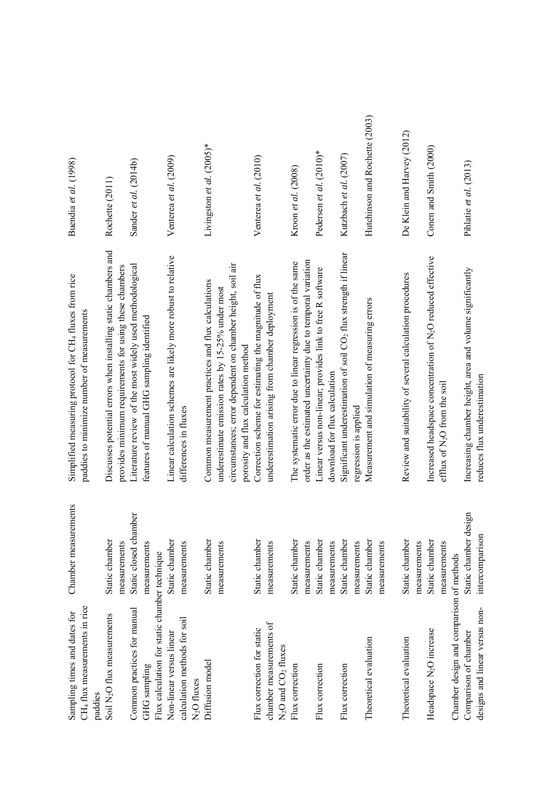| CH <sub>4</sub> flux measurements in rice<br>Sampling times and dates for<br>paddies | Chamber measurements                  | Simplified measuring protocol for CH4 fluxes from rice<br>paddies to minimize number of measurements                     | Buendia et al. (1998)          |
|--------------------------------------------------------------------------------------|---------------------------------------|--------------------------------------------------------------------------------------------------------------------------|--------------------------------|
| Soil N <sub>2</sub> O flux measurements                                              | Static chamber<br>measurements        | Discusses potential errors when installing static chambers and<br>provides minimum requirements for using these chambers | Rochette (2011)                |
| Common practices for manual<br>GHG sampling                                          | Static closed chamber<br>measurements | Literature review of the most widely used methodological<br>features of manual GHG sampling identified                   | Sander et al. (2014b)          |
| Flux calculation for static chamber technique                                        |                                       |                                                                                                                          |                                |
| Non-linear versus linear                                                             | Static chamber                        | Linear calculation schemes are likely more robust to relative                                                            | Venterea et al. (2009)         |
| calculation methods for soil<br>N <sub>2</sub> O fluxes                              | measurements                          | differences in fluxes                                                                                                    |                                |
|                                                                                      |                                       |                                                                                                                          |                                |
| Diffusion model                                                                      | Static chamber                        | Common measurement practices and flux calculations                                                                       | Livingston et al. $(2005)$ *   |
|                                                                                      | measurements                          | underestimate emission rates by 15-25% under most                                                                        |                                |
|                                                                                      |                                       | circumstances; error dependent on chamber height, soil air                                                               |                                |
|                                                                                      |                                       | porosity and flux calculation method                                                                                     |                                |
| Flux correction for static                                                           | Static chamber                        | Correction scheme for estimating the magnitude of flux                                                                   | Venterea et al. (2010)         |
| chamber measurements of                                                              | measurements                          | underestimation arising from chamber deployment                                                                          |                                |
| $N_2O$ and $CO_2$ fluxes                                                             |                                       |                                                                                                                          |                                |
| Flux correction                                                                      | Static chamber                        | The systematic error due to linear regression is of the same                                                             | Kroon et al. (2008)            |
|                                                                                      | measurements                          | order as the estimated uncertainty due to temporal variation                                                             |                                |
| Flux correction                                                                      | Static chamber                        | Linear versus non-linear; provides link to free R software                                                               | Pedersen et al. (2010)*        |
|                                                                                      | measurements                          | download for flux calculation                                                                                            |                                |
| Flux correction                                                                      | Static chamber                        | Significant underestimation of soil CO <sub>2</sub> flux strength if linear                                              | Kutzbach et al. (2007)         |
|                                                                                      | measurements                          | regression is applied                                                                                                    |                                |
| Theoretical evaluation                                                               | Static chamber                        | Measurement and simulation of measuring errors                                                                           | Hutchinson and Rochette (2003) |
|                                                                                      | measurements                          |                                                                                                                          |                                |
| Theoretical evaluation                                                               | Static chamber                        | Review and suitability of several calculation procedures                                                                 | De Klein and Harvey (2012)     |
|                                                                                      | measurements                          |                                                                                                                          |                                |
| Headspace N <sub>2</sub> O increase                                                  | Static chamber                        | Increased headspace concentration of N <sub>2</sub> O reduced effective                                                  | Conen and Smith (2000)         |
|                                                                                      | measurements                          | $\epsilon$ fflux of N <sub>2</sub> O from the soil                                                                       |                                |
| Chamber design and comparison of methods                                             |                                       |                                                                                                                          |                                |
| Comparison of chamber                                                                | esign<br>Static chamber d             | Increasing chamber height, area and volume significantly                                                                 | Pihlatie et al. (2013)         |
| designs and linear versus non-                                                       | intercomparison                       | reduces flux underestimation                                                                                             |                                |
|                                                                                      |                                       |                                                                                                                          |                                |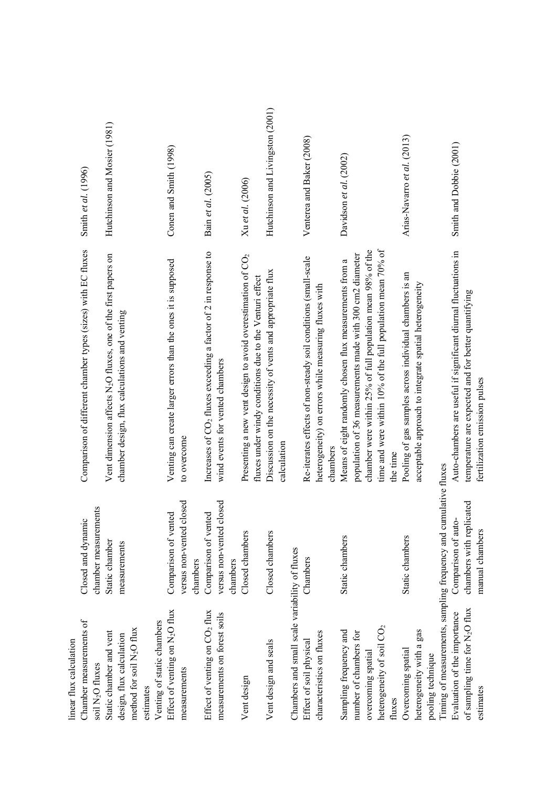| linear flux calculation                                                                 |                                                                    |                                                                                                                                                         |                                  |
|-----------------------------------------------------------------------------------------|--------------------------------------------------------------------|---------------------------------------------------------------------------------------------------------------------------------------------------------|----------------------------------|
| Chamber measurements of<br>soil N <sub>2</sub> O fluxes                                 | chamber measurements<br>Closed and dynamic                         | Comparison of different chamber types (sizes) with EC fluxes                                                                                            | Smith et al. (1996)              |
| Static chamber and vent                                                                 | Static chamber                                                     | Vent dimension affects N <sub>2</sub> O fluxes, one of the first papers on                                                                              | Hutchinson and Mosier (1981)     |
| method for soil N <sub>2</sub> O flux<br>design, flux calculation<br>estimates          | measurements                                                       | chamber design, flux calculations and venting                                                                                                           |                                  |
| Venting of static chambers                                                              |                                                                    |                                                                                                                                                         |                                  |
| Effect of venting on N <sub>2</sub> O flux                                              | Comparison of vented                                               | Venting can create larger errors than the ones it is supposed                                                                                           | Conen and Smith (1998)           |
| measurements                                                                            | closed<br>versus non-vented<br>chambers                            | to overcome                                                                                                                                             |                                  |
| Effect of venting on CO <sub>2</sub> flux                                               | Comparison of vented                                               | Increases of CO <sub>2</sub> fluxes exceeding a factor of 2 in response to                                                                              | Bain et al. (2005)               |
| measurements on forest soils                                                            | closed<br>versus non-vented                                        | wind events for vented chambers                                                                                                                         |                                  |
|                                                                                         | chambers                                                           |                                                                                                                                                         |                                  |
| Vent design                                                                             | Closed chambers                                                    | Presenting a new vent design to avoid overestimation of $CO2$<br>fluxes under windy conditions due to the Venturi effect                                | Xu et al. (2006)                 |
| Vent design and seals                                                                   | Closed chambers                                                    | Discussion on the necessity of vents and appropriate flux<br>calculation                                                                                | Hutchinson and Livingston (2001) |
| Chambers and small scale variability of fluxes                                          |                                                                    |                                                                                                                                                         |                                  |
| Effect of soil physical                                                                 | Chambers                                                           | Re-iterates effects of non-steady soil conditions (small-scale                                                                                          | Venterea and Baker (2008)        |
| characteristics on fluxes                                                               |                                                                    | heterogeneity) on errors while measuring fluxes with<br>chambers                                                                                        |                                  |
| Sampling frequency and<br>number of chambers for                                        | Static chambers                                                    | population of 36 measurements made with 300 cm2 diameter<br>Means of eight randomly chosen flux measurements from a                                     | Davidson et al. (2002)           |
| overcoming spatial                                                                      |                                                                    | chamber were within 25% of full population mean 98% of the                                                                                              |                                  |
| heterogeneity of soil CO <sub>2</sub><br>fluxes                                         |                                                                    | time and were within 10% of the full population mean 70% of<br>the time                                                                                 |                                  |
| heterogeneity with a gas<br>Overcoming spatial<br>pooling technique                     | Static chambers                                                    | Pooling of gas samples across individual chambers is an<br>acceptable approach to integrate spatial heterogeneity                                       | Arias-Navarro et al. (2013)      |
| Timing of measurements, sampling frequency and cumulative fluxes                        |                                                                    |                                                                                                                                                         |                                  |
| of sampling time for N <sub>2</sub> O flux<br>Evaluation of the importance<br>estimates | chambers with replicated<br>Comparison of auto-<br>manual chambers | Auto-chambers are useful if significant diurnal fluctuations in<br>temperature are expected and for better quantifying<br>fertilization emission pulses | Smith and Dobbie (2001)          |
|                                                                                         |                                                                    |                                                                                                                                                         |                                  |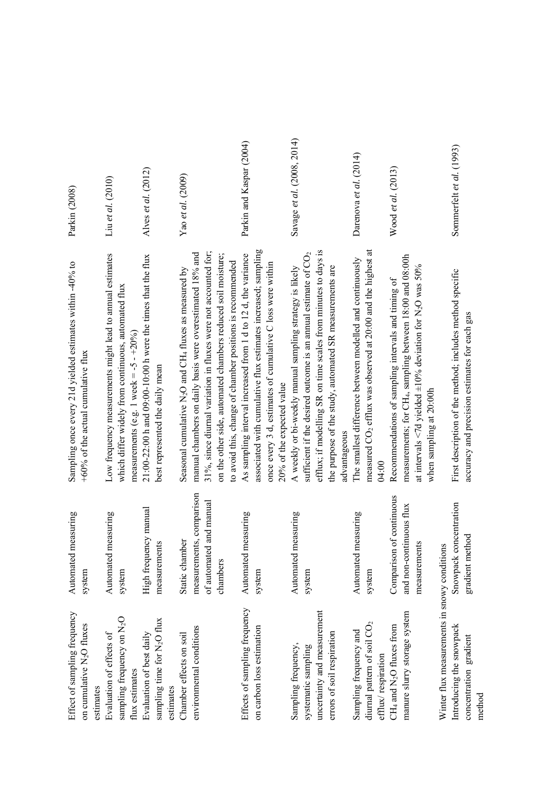| Effect of sampling frequency<br>on cumulative $N_2O$ fluxes<br>estimates                                     | measuring<br>Automated<br>system                                                  | Sampling once every 21d yielded estimates within -40% to<br>$+60\%$ of the actual cumulative flux                                                                                                                                                                                      | Parkin (2008)              |
|--------------------------------------------------------------------------------------------------------------|-----------------------------------------------------------------------------------|----------------------------------------------------------------------------------------------------------------------------------------------------------------------------------------------------------------------------------------------------------------------------------------|----------------------------|
| sampling frequency on N <sub>2</sub> O<br>Evaluation of effects of<br>flux estimates                         | measuring<br>Automated<br>system                                                  | Low frequency measurements might lead to annual estimates<br>which differ widely from continuous, automated flux<br>measurements (e.g. 1 week = $-5 - +20\%$ )                                                                                                                         | Liu et al. (2010)          |
| sampling time for N <sub>2</sub> O flux<br>Evaluation of best daily<br>estimates                             | High frequency manual<br>measurements                                             | 21:00-22:00 h and 09:00-10:00 h were the times that the flux<br>best represented the daily mean                                                                                                                                                                                        | Alves et al. $(2012)$      |
| environmental conditions<br>Chamber effects on soil                                                          | measurements, comparison<br>of automated and manual<br>Static chamber<br>chambers | 31%, since diurnal variation in fluxes were not accounted for;<br>manual chambers on daily basis were overestimated 18% and<br>on the other side, automated chambers reduced soil moisture;<br>Seasonal cumulative $N_2O$ and CH <sub>4</sub> fluxes as measured by                    | Yao et al. (2009)          |
| Effects of sampling frequency<br>on carbon loss estimation                                                   | measuring<br>Automated<br>system                                                  | associated with cumulative flux estimates increased; sampling<br>As sampling interval increased from 1 d to 12 d, the variance<br>to avoid this, change of chamber positions is recommended<br>once every 3 d, estimates of cumulative C loss were within<br>20% of the expected value | Parkin and Kaspar (2004)   |
| uncertainty and measurement<br>errors of soil respiration<br>Sampling frequency,<br>systematic sampling      | measuring<br>Automated<br>system                                                  | efflux; if modelling SR on time scales from minutes to days is<br>sufficient if the desired outcome is an annual estimate of $CO2$<br>the purpose of the study, automated SR measurements are<br>A weekly or bi-weekly manual sampling strategy is likely<br>advantageous              | Savage et al. (2008, 2014) |
| diurnal pattern of soil CO <sub>2</sub><br>Sampling frequency and<br>efflux/respiration                      | measuring<br>Automated<br>system                                                  | measured CO <sub>2</sub> efflux was observed at 20:00 and the highest at<br>The smallest difference between modelled and continuously<br>04:00                                                                                                                                         | Darenova et al. (2014)     |
| manure slurry storage system<br>CH <sub>4</sub> and N <sub>2</sub> O fluxes from                             | Comparison of continuous<br>and non-continuous flux<br>measurements               | measurements; for CH4, sampling between 18:00 and 08:00h<br>at intervals <7d yielded $\pm$ 10% deviation for N <sub>2</sub> O was 50%<br>Recommendations of sampling intervals and timing of<br>when sampling at 20:00h                                                                | Wood et al. $(2013)$       |
| Winter flux measurements in snowy conditions<br>Introducing the snowpack<br>concentration gradient<br>method | concentration<br>gradient method<br>Snowpack                                      | First description of the method; includes method specific<br>accuracy and precision estimates for each gas                                                                                                                                                                             | Sommerfelt et al. (1993)   |